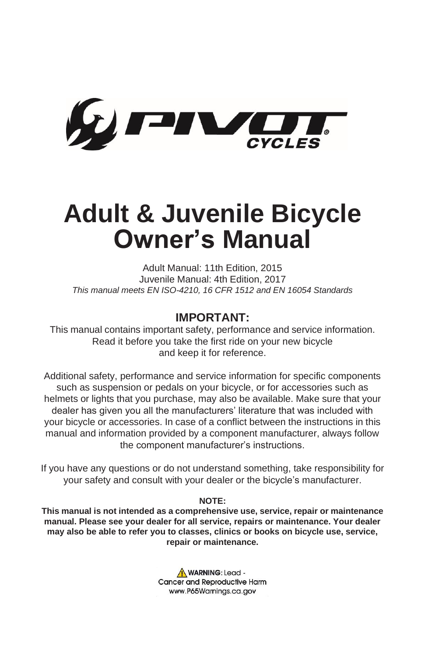

# **Adult & Juvenile Bicycle Owner's Manual**

Adult Manual: 11th Edition, 2015 Juvenile Manual: 4th Edition, 2017 *This manual meets EN ISO-4210, 16 CFR 1512 and EN 16054 Standards*

## **IMPORTANT:**

This manual contains important safety, performance and service information. Read it before you take the first ride on your new bicycle and keep it for reference.

Additional safety, performance and service information for specific components such as suspension or pedals on your bicycle, or for accessories such as helmets or lights that you purchase, may also be available. Make sure that your dealer has given you all the manufacturers' literature that was included with your bicycle or accessories. In case of a conflict between the instructions in this manual and information provided by a component manufacturer, always follow the component manufacturer's instructions.

If you have any questions or do not understand something, take responsibility for your safety and consult with your dealer or the bicycle's manufacturer.

**NOTE:**

**This manual is not intended as a comprehensive use, service, repair or maintenance manual. Please see your dealer for all service, repairs or maintenance. Your dealer may also be able to refer you to classes, clinics or books on bicycle use, service, repair or maintenance.**

> WARNING: Lead -**Cancer and Reproductive Harm** www.P65Warnings.ca.gov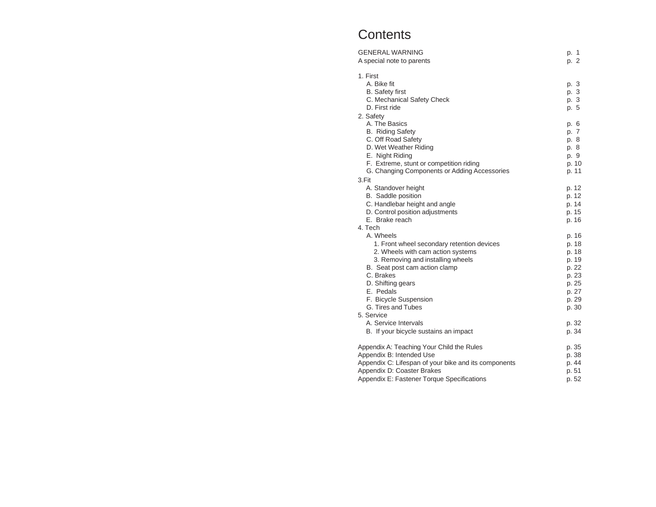# **Contents**

| <b>GENERAL WARNING</b><br>A special note to parents                                                                                                                                                                                                                                                    | p. 1<br>p. 2                                                                                    |
|--------------------------------------------------------------------------------------------------------------------------------------------------------------------------------------------------------------------------------------------------------------------------------------------------------|-------------------------------------------------------------------------------------------------|
| 1. First<br>A. Bike fit<br><b>B.</b> Safety first<br>C. Mechanical Safety Check<br>D. First ride                                                                                                                                                                                                       | p. 3<br>p. 3<br>p. 3<br>p. 5                                                                    |
| 2. Safety<br>A. The Basics<br><b>B.</b> Riding Safety<br>C. Off Road Safety<br>D. Wet Weather Riding<br>E. Night Riding<br>F. Extreme, stunt or competition riding<br>G. Changing Components or Adding Accessories                                                                                     | p. 6<br>p. 7<br>p. 8<br>p. 8<br>p. 9<br>p. 10<br>p. 11                                          |
| 3.Fit<br>A. Standover height<br>B. Saddle position<br>C. Handlebar height and angle<br>D. Control position adjustments<br>E. Brake reach<br>4. Tech                                                                                                                                                    | p. 12<br>p. 12<br>p. 14<br>p. 15<br>p. 16                                                       |
| A. Wheels<br>1. Front wheel secondary retention devices<br>2. Wheels with cam action systems<br>3. Removing and installing wheels<br>B. Seat post cam action clamp<br>C. Brakes<br>D. Shifting gears<br>E. Pedals<br>F. Bicycle Suspension<br>G. Tires and Tubes<br>5. Service<br>A. Service Intervals | p. 16<br>p. 18<br>p. 18<br>p. 19<br>p. 22<br>p. 23<br>p. 25<br>p. 27<br>p. 29<br>p. 30<br>p. 32 |
| B. If your bicycle sustains an impact                                                                                                                                                                                                                                                                  | p. 34                                                                                           |
| Appendix A: Teaching Your Child the Rules<br>Appendix B: Intended Use<br>Appendix C: Lifespan of your bike and its components<br>Appendix D: Coaster Brakes<br>Appendix E: Fastener Torque Specifications                                                                                              | p. 35<br>p. 38<br>p. 44<br>p. 51<br>p. 52                                                       |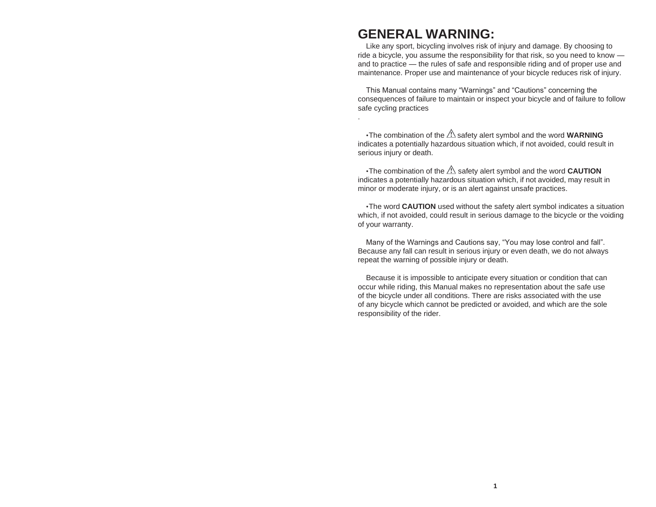# **GENERAL WARNING:**

.

Like any sport, bicycling involves risk of injury and damage. By choosing to ride a bicycle, you assume the responsibility for that risk, so you need to know and to practice — the rules of safe and responsible riding and of proper use and maintenance. Proper use and maintenance of your bicycle reduces risk of injury.

This Manual contains many "Warnings" and "Cautions" concerning the consequences of failure to maintain or inspect your bicycle and of failure to follow safe cycling practices

 $\cdot$ The combination of the  $\mathbb{\triangle}$  safety alert symbol and the word **WARNING** indicates a potentially hazardous situation which, if not avoided, could result in serious injury or death.

•The combination of the  $\triangle$  safety alert symbol and the word **CAUTION** indicates a potentially hazardous situation which, if not avoided, may result in minor or moderate injury, or is an alert against unsafe practices.

•The word **CAUTION** used without the safety alert symbol indicates a situation which, if not avoided, could result in serious damage to the bicycle or the voiding of your warranty.

Many of the Warnings and Cautions say, "You may lose control and fall". Because any fall can result in serious injury or even death, we do not always repeat the warning of possible injury or death.

Because it is impossible to anticipate every situation or condition that can occur while riding, this Manual makes no representation about the safe use of the bicycle under all conditions. There are risks associated with the use of any bicycle which cannot be predicted or avoided, and which are the sole responsibility of the rider.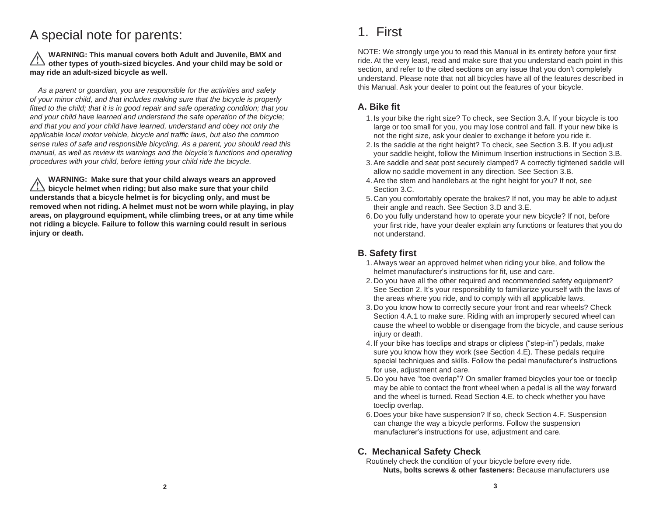# A special note for parents:

**WARNING: This manual covers both Adult and Juvenile, BMX and other types of youth-sized bicycles. And your child may be sold or may ride an adult-sized bicycle as well.**

*As a parent or guardian, you are responsible for the activities and safety of your minor child, and that includes making sure that the bicycle is properly fitted to the child; that it is in good repair and safe operating condition; that you and your child have learned and understand the safe operation of the bicycle; and that you and your child have learned, understand and obey not only the applicable local motor vehicle, bicycle and traffic laws, but also the common sense rules of safe and responsible bicycling. As a parent, you should read this manual, as well as review its warnings and the bicycle's functions and operating procedures with your child, before letting your child ride the bicycle.*

**WARNING: Make sure that your child always wears an approved bicycle helmet when riding; but also make sure that your child understands that a bicycle helmet is for bicycling only, and must be removed when not riding. A helmet must not be worn while playing, in play areas, on playground equipment, while climbing trees, or at any time while not riding a bicycle. Failure to follow this warning could result in serious injury or death.**

# 1. First

NOTE: We strongly urge you to read this Manual in its entirety before your first ride. At the very least, read and make sure that you understand each point in this section, and refer to the cited sections on any issue that you don't completely understand. Please note that not all bicycles have all of the features described in this Manual. Ask your dealer to point out the features of your bicycle.

# **A. Bike fit**

- 1. Is your bike the right size? To check, see Section 3.A. If your bicycle is too large or too small for you, you may lose control and fall. If your new bike is not the right size, ask your dealer to exchange it before you ride it.
- 2. Is the saddle at the right height? To check, see Section 3.B. If you adjust your saddle height, follow the Minimum Insertion instructions in Section 3.B.
- 3.Are saddle and seat post securely clamped? A correctly tightened saddle will allow no saddle movement in any direction. See Section 3.B.
- 4.Are the stem and handlebars at the right height for you? If not, see Section 3.C.
- 5. Can you comfortably operate the brakes? If not, you may be able to adjust their angle and reach. See Section 3.D and 3.E.
- 6. Do you fully understand how to operate your new bicycle? If not, before your first ride, have your dealer explain any functions or features that you do not understand.

# **B. Safety first**

- 1.Always wear an approved helmet when riding your bike, and follow the helmet manufacturer's instructions for fit, use and care.
- 2. Do you have all the other required and recommended safety equipment? See Section 2. It's your responsibility to familiarize yourself with the laws of the areas where you ride, and to comply with all applicable laws.
- 3. Do you know how to correctly secure your front and rear wheels? Check Section 4.A.1 to make sure. Riding with an improperly secured wheel can cause the wheel to wobble or disengage from the bicycle, and cause serious injury or death.
- 4. If your bike has toeclips and straps or clipless ("step-in") pedals, make sure you know how they work (see Section 4.E). These pedals require special techniques and skills. Follow the pedal manufacturer's instructions for use, adjustment and care.
- 5. Do you have "toe overlap"? On smaller framed bicycles your toe or toeclip may be able to contact the front wheel when a pedal is all the way forward and the wheel is turned. Read Section 4.E. to check whether you have toeclip overlap.
- 6. Does your bike have suspension? If so, check Section 4.F. Suspension can change the way a bicycle performs. Follow the suspension manufacturer's instructions for use, adjustment and care.

# **C. Mechanical Safety Check**

Routinely check the condition of your bicycle before every ride. **Nuts, bolts screws & other fasteners:** Because manufacturers use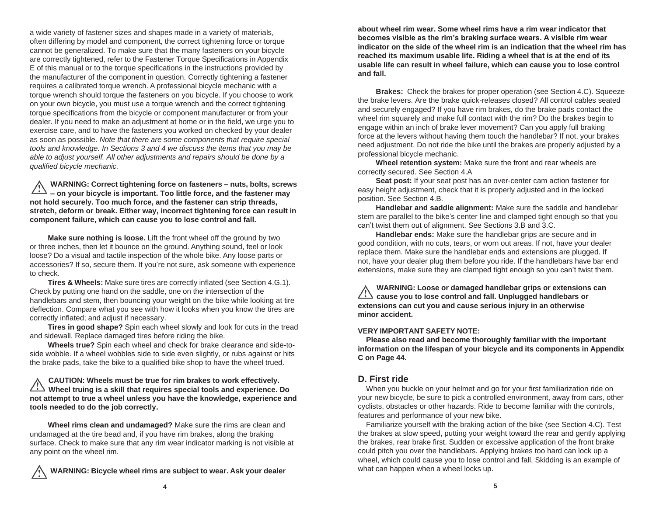a wide variety of fastener sizes and shapes made in a variety of materials, often differing by model and component, the correct tightening force or torque cannot be generalized. To make sure that the many fasteners on your bicycle are correctly tightened, refer to the Fastener Torque Specifications in Appendix E of this manual or to the torque specifications in the instructions provided by the manufacturer of the component in question. Correctly tightening a fastener requires a calibrated torque wrench. A professional bicycle mechanic with a torque wrench should torque the fasteners on you bicycle. If you choose to work on your own bicycle, you must use a torque wrench and the correct tightening torque specifications from the bicycle or component manufacturer or from your dealer. If you need to make an adjustment at home or in the field, we urge you to exercise care, and to have the fasteners you worked on checked by your dealer as soon as possible. *Note that there are some components that require special tools and knowledge. In Sections 3 and 4 we discuss the items that you may be able to adjust yourself. All other adjustments and repairs should be done by a qualified bicycle mechanic.*

**WARNING: Correct tightening force on fasteners – nuts, bolts, screws – on your bicycle is important. Too little force, and the fastener may not hold securely. Too much force, and the fastener can strip threads, stretch, deform or break. Either way, incorrect tightening force can result in component failure, which can cause you to lose control and fall.**

**Make sure nothing is loose.** Lift the front wheel off the ground by two or three inches, then let it bounce on the ground. Anything sound, feel or look loose? Do a visual and tactile inspection of the whole bike. Any loose parts or accessories? If so, secure them. If you're not sure, ask someone with experience to check.

**Tires & Wheels:** Make sure tires are correctly inflated (see Section 4.G.1). Check by putting one hand on the saddle, one on the intersection of the handlebars and stem, then bouncing your weight on the bike while looking at tire deflection. Compare what you see with how it looks when you know the tires are correctly inflated; and adjust if necessary.

**Tires in good shape?** Spin each wheel slowly and look for cuts in the tread and sidewall. Replace damaged tires before riding the bike.

**Wheels true?** Spin each wheel and check for brake clearance and side-toside wobble. If a wheel wobbles side to side even slightly, or rubs against or hits the brake pads, take the bike to a qualified bike shop to have the wheel trued.

#### **CAUTION: Wheels must be true for rim brakes to work effectively. Wheel truing is a skill that requires special tools and experience. Do not attempt to true a wheel unless you have the knowledge, experience and tools needed to do the job correctly.**

**Wheel rims clean and undamaged?** Make sure the rims are clean and undamaged at the tire bead and, if you have rim brakes, along the braking surface. Check to make sure that any rim wear indicator marking is not visible at any point on the wheel rim.

**WARNING: Bicycle wheel rims are subject to wear. Ask your dealer**

**about wheel rim wear. Some wheel rims have a rim wear indicator that becomes visible as the rim's braking surface wears. A visible rim wear indicator on the side of the wheel rim is an indication that the wheel rim has reached its maximum usable life. Riding a wheel that is at the end of its usable life can result in wheel failure, which can cause you to lose control and fall.**

**Brakes:** Check the brakes for proper operation (see Section 4.C). Squeeze the brake levers. Are the brake quick-releases closed? All control cables seated and securely engaged? If you have rim brakes, do the brake pads contact the wheel rim squarely and make full contact with the rim? Do the brakes begin to engage within an inch of brake lever movement? Can you apply full braking force at the levers without having them touch the handlebar? If not, your brakes need adjustment. Do not ride the bike until the brakes are properly adjusted by a professional bicycle mechanic.

**Wheel retention system:** Make sure the front and rear wheels are correctly secured. See Section 4.A

**Seat post:** If your seat post has an over-center cam action fastener for easy height adjustment, check that it is properly adjusted and in the locked position. See Section 4.B.

**Handlebar and saddle alignment:** Make sure the saddle and handlebar stem are parallel to the bike's center line and clamped tight enough so that you can't twist them out of alignment. See Sections 3.B and 3.C.

**Handlebar ends:** Make sure the handlebar grips are secure and in good condition, with no cuts, tears, or worn out areas. If not, have your dealer replace them. Make sure the handlebar ends and extensions are plugged. If not, have your dealer plug them before you ride. If the handlebars have bar end extensions, make sure they are clamped tight enough so you can't twist them.

**WARNING: Loose or damaged handlebar grips or extensions can cause you to lose control and fall. Unplugged handlebars or extensions can cut you and cause serious injury in an otherwise minor accident.**

#### **VERY IMPORTANT SAFETY NOTE:**

**Please also read and become thoroughly familiar with the important information on the lifespan of your bicycle and its components in Appendix C on Page 44.**

# **D. First ride**

When you buckle on your helmet and go for your first familiarization ride on your new bicycle, be sure to pick a controlled environment, away from cars, other cyclists, obstacles or other hazards. Ride to become familiar with the controls, features and performance of your new bike.

Familiarize yourself with the braking action of the bike (see Section 4.C). Test the brakes at slow speed, putting your weight toward the rear and gently applying the brakes, rear brake first. Sudden or excessive application of the front brake could pitch you over the handlebars. Applying brakes too hard can lock up a wheel, which could cause you to lose control and fall. Skidding is an example of what can happen when a wheel locks up.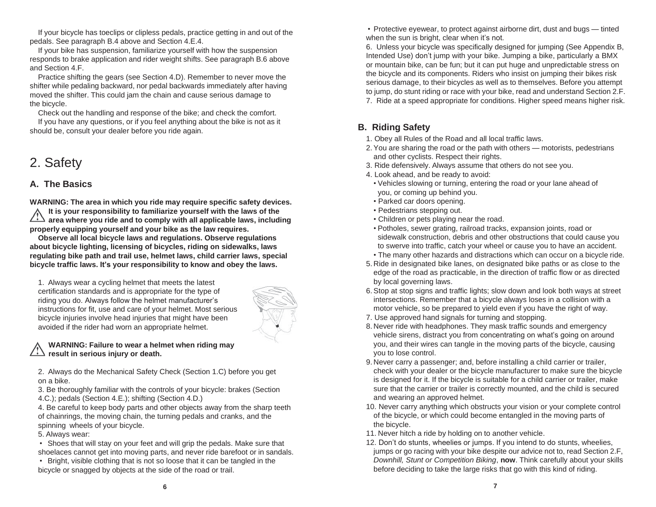If your bicycle has toeclips or clipless pedals, practice getting in and out of the pedals. See paragraph B.4 above and Section 4.E.4.

If your bike has suspension, familiarize yourself with how the suspension responds to brake application and rider weight shifts. See paragraph B.6 above and Section 4.F.

Practice shifting the gears (see Section 4.D). Remember to never move the shifter while pedaling backward, nor pedal backwards immediately after having moved the shifter. This could jam the chain and cause serious damage to the bicycle.

Check out the handling and response of the bike; and check the comfort.

If you have any questions, or if you feel anything about the bike is not as it should be, consult your dealer before you ride again.

# 2. Safety

# **A. The Basics**

**WARNING: The area in which you ride may require specific safety devices. It is your responsibility to familiarize yourself with the laws of the area where you ride and to comply with all applicable laws, including properly equipping yourself and your bike as the law requires.**

**Observe all local bicycle laws and regulations. Observe regulations about bicycle lighting, licensing of bicycles, riding on sidewalks, laws regulating bike path and trail use, helmet laws, child carrier laws, special bicycle traffic laws. It's your responsibility to know and obey the laws.**

1. Always wear a cycling helmet that meets the latest certification standards and is appropriate for the type of riding you do. Always follow the helmet manufacturer's instructions for fit, use and care of your helmet. Most serious bicycle injuries involve head injuries that might have been avoided if the rider had worn an appropriate helmet.



## **WARNING: Failure to wear a helmet when riding may**  $\angle \rightarrow$  result in serious injury or death.

2. Always do the Mechanical Safety Check (Section 1.C) before you get on a bike.

3. Be thoroughly familiar with the controls of your bicycle: brakes (Section 4.C.); pedals (Section 4.E.); shifting (Section 4.D.)

4. Be careful to keep body parts and other objects away from the sharp teeth of chainrings, the moving chain, the turning pedals and cranks, and the spinning wheels of your bicycle.

5. Always wear:

• Shoes that will stay on your feet and will grip the pedals. Make sure that shoelaces cannot get into moving parts, and never ride barefoot or in sandals.

• Bright, visible clothing that is not so loose that it can be tangled in the bicycle or snagged by objects at the side of the road or trail.

• Protective eyewear, to protect against airborne dirt, dust and bugs — tinted when the sun is bright, clear when it's not.

6. Unless your bicycle was specifically designed for jumping (See Appendix B, Intended Use) don't jump with your bike. Jumping a bike, particularly a BMX or mountain bike, can be fun; but it can put huge and unpredictable stress on the bicycle and its components. Riders who insist on jumping their bikes risk serious damage, to their bicycles as well as to themselves. Before you attempt to jump, do stunt riding or race with your bike, read and understand Section 2.F. 7. Ride at a speed appropriate for conditions. Higher speed means higher risk.

# **B. Riding Safety**

- 1. Obey all Rules of the Road and all local traffic laws.
- 2.You are sharing the road or the path with others motorists, pedestrians and other cyclists. Respect their rights.
- 3. Ride defensively. Always assume that others do not see you.
- 4. Look ahead, and be ready to avoid:
	- Vehicles slowing or turning, entering the road or your lane ahead of you, or coming up behind you.
	- Parked car doors opening.
	- Pedestrians stepping out.
	- Children or pets playing near the road.
	- Potholes, sewer grating, railroad tracks, expansion joints, road or sidewalk construction, debris and other obstructions that could cause you to swerve into traffic, catch your wheel or cause you to have an accident.
	- The many other hazards and distractions which can occur on a bicycle ride.
- 5. Ride in designated bike lanes, on designated bike paths or as close to the edge of the road as practicable, in the direction of traffic flow or as directed by local governing laws.
- 6.Stop at stop signs and traffic lights; slow down and look both ways at street intersections. Remember that a bicycle always loses in a collision with a motor vehicle, so be prepared to yield even if you have the right of way.
- 7. Use approved hand signals for turning and stopping.
- 8. Never ride with headphones. They mask traffic sounds and emergency vehicle sirens, distract you from concentrating on what's going on around you, and their wires can tangle in the moving parts of the bicycle, causing you to lose control.
- 9. Never carry a passenger; and, before installing a child carrier or trailer, check with your dealer or the bicycle manufacturer to make sure the bicycle is designed for it. If the bicycle is suitable for a child carrier or trailer, make sure that the carrier or trailer is correctly mounted, and the child is secured and wearing an approved helmet.
- 10. Never carry anything which obstructs your vision or your complete control of the bicycle, or which could become entangled in the moving parts of the bicycle.
- 11. Never hitch a ride by holding on to another vehicle.
- 12. Don't do stunts, wheelies or jumps. If you intend to do stunts, wheelies, jumps or go racing with your bike despite our advice not to, read Section 2.F, *Downhill, Stunt or Competition Biking*, **now**. Think carefully about your skills before deciding to take the large risks that go with this kind of riding.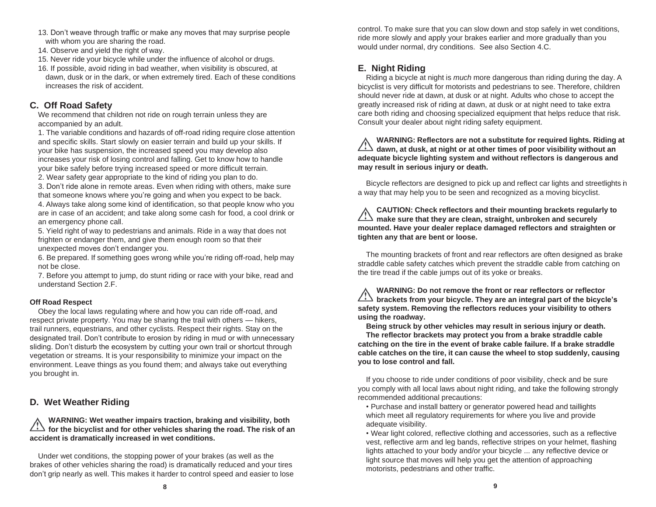- 13. Don't weave through traffic or make any moves that may surprise people with whom you are sharing the road.
- 14. Observe and yield the right of way.
- 15. Never ride your bicycle while under the influence of alcohol or drugs.
- 16. If possible, avoid riding in bad weather, when visibility is obscured, at dawn, dusk or in the dark, or when extremely tired. Each of these conditions increases the risk of accident.

# **C. Off Road Safety**

We recommend that children not ride on rough terrain unless they are accompanied by an adult.

1. The variable conditions and hazards of off-road riding require close attention and specific skills. Start slowly on easier terrain and build up your skills. If your bike has suspension, the increased speed you may develop also increases your risk of losing control and falling. Get to know how to handle your bike safely before trying increased speed or more difficult terrain.

2. Wear safety gear appropriate to the kind of riding you plan to do.

3. Don't ride alone in remote areas. Even when riding with others, make sure that someone knows where you're going and when you expect to be back.

4. Always take along some kind of identification, so that people know who you are in case of an accident; and take along some cash for food, a cool drink or an emergency phone call.

5. Yield right of way to pedestrians and animals. Ride in a way that does not frighten or endanger them, and give them enough room so that their unexpected moves don't endanger you.

6. Be prepared. If something goes wrong while you're riding off-road, help may not be close.

7. Before you attempt to jump, do stunt riding or race with your bike, read and understand Section 2.F.

## **Off Road Respect**

Obey the local laws regulating where and how you can ride off-road, and respect private property. You may be sharing the trail with others — hikers, trail runners, equestrians, and other cyclists. Respect their rights. Stay on the designated trail. Don't contribute to erosion by riding in mud or with unnecessary sliding. Don't disturb the ecosystem by cutting your own trail or shortcut through vegetation or streams. It is your responsibility to minimize your impact on the environment. Leave things as you found them; and always take out everything you brought in.

# **D. Wet Weather Riding**

**WARNING: Wet weather impairs traction, braking and visibility, both for the bicyclist and for other vehicles sharing the road. The risk of an accident is dramatically increased in wet conditions.**

Under wet conditions, the stopping power of your brakes (as well as the brakes of other vehicles sharing the road) is dramatically reduced and your tires don't grip nearly as well. This makes it harder to control speed and easier to lose

control. To make sure that you can slow down and stop safely in wet conditions, ride more slowly and apply your brakes earlier and more gradually than you would under normal, dry conditions. See also Section 4.C.

# **E. Night Riding**

Riding a bicycle at night is *much* more dangerous than riding during the day. A bicyclist is very difficult for motorists and pedestrians to see. Therefore, children should never ride at dawn, at dusk or at night. Adults who chose to accept the greatly increased risk of riding at dawn, at dusk or at night need to take extra care both riding and choosing specialized equipment that helps reduce that risk. Consult your dealer about night riding safety equipment.

**WARNING: Reflectors are not a substitute for required lights. Riding at dawn, at dusk, at night or at other times of poor visibility without an adequate bicycle lighting system and without reflectors is dangerous and may result in serious injury or death.**

Bicycle reflectors are designed to pick up and reflect car lights and streetlights in a way that may help you to be seen and recognized as a moving bicyclist.

**CAUTION: Check reflectors and their mounting brackets regularly to make sure that they are clean, straight, unbroken and securely mounted. Have your dealer replace damaged reflectors and straighten or tighten any that are bent or loose.**

The mounting brackets of front and rear reflectors are often designed as brake straddle cable safety catches which prevent the straddle cable from catching on the tire tread if the cable jumps out of its yoke or breaks.

**WARNING: Do not remove the front or rear reflectors or reflector brackets from your bicycle. They are an integral part of the bicycle's safety system. Removing the reflectors reduces your visibility to others using the roadway.**

**Being struck by other vehicles may result in serious injury or death. The reflector brackets may protect you from a brake straddle cable catching on the tire in the event of brake cable failure. If a brake straddle cable catches on the tire, it can cause the wheel to stop suddenly, causing you to lose control and fall.**

If you choose to ride under conditions of poor visibility, check and be sure you comply with all local laws about night riding, and take the following strongly recommended additional precautions:

• Purchase and install battery or generator powered head and taillights which meet all regulatory requirements for where you live and provide adequate visibility.

• Wear light colored, reflective clothing and accessories, such as a reflective vest, reflective arm and leg bands, reflective stripes on your helmet, flashing lights attached to your body and/or your bicycle ... any reflective device or light source that moves will help you get the attention of approaching motorists, pedestrians and other traffic.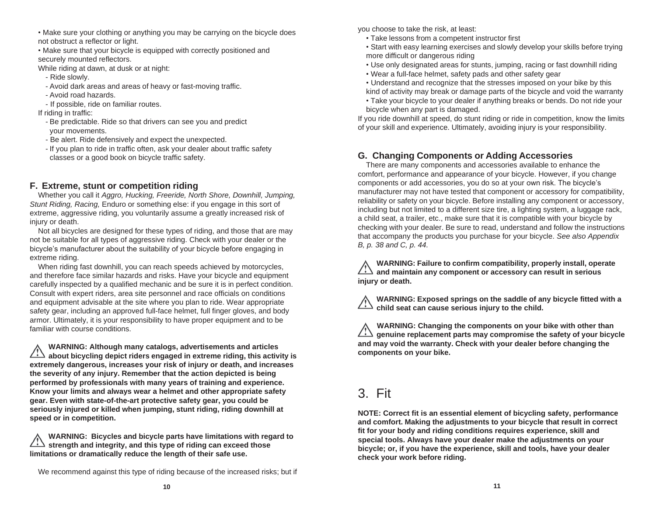- Make sure your clothing or anything you may be carrying on the bicycle does not obstruct a reflector or light.
- Make sure that your bicycle is equipped with correctly positioned and securely mounted reflectors.

While riding at dawn, at dusk or at night:

- Ride slowly.
- Avoid dark areas and areas of heavy or fast-moving traffic.
- Avoid road hazards.
- If possible, ride on familiar routes.

If riding in traffic:

- Be predictable. Ride so that drivers can see you and predict your movements.
- Be alert. Ride defensively and expect the unexpected.
- If you plan to ride in traffic often, ask your dealer about traffic safety classes or a good book on bicycle traffic safety.

# **F. Extreme, stunt or competition riding**

Whether you call it *Aggro, Hucking, Freeride, North Shore, Downhill, Jumping, Stunt Riding, Racing,* Enduro or something else: if you engage in this sort of extreme, aggressive riding, you voluntarily assume a greatly increased risk of injury or death.

Not all bicycles are designed for these types of riding, and those that are may not be suitable for all types of aggressive riding. Check with your dealer or the bicycle's manufacturer about the suitability of your bicycle before engaging in extreme riding.

When riding fast downhill, you can reach speeds achieved by motorcycles, and therefore face similar hazards and risks. Have your bicycle and equipment carefully inspected by a qualified mechanic and be sure it is in perfect condition. Consult with expert riders, area site personnel and race officials on conditions and equipment advisable at the site where you plan to ride. Wear appropriate safety gear, including an approved full-face helmet, full finger gloves, and body armor. Ultimately, it is your responsibility to have proper equipment and to be familiar with course conditions.

**WARNING: Although many catalogs, advertisements and articles about bicycling depict riders engaged in extreme riding, this activity is extremely dangerous, increases your risk of injury or death, and increases the severity of any injury. Remember that the action depicted is being performed by professionals with many years of training and experience. Know your limits and always wear a helmet and other appropriate safety gear. Even with state-of-the-art protective safety gear, you could be seriously injured or killed when jumping, stunt riding, riding downhill at speed or in competition.**

**WARNING: Bicycles and bicycle parts have limitations with regard to strength and integrity, and this type of riding can exceed those limitations or dramatically reduce the length of their safe use.**

We recommend against this type of riding because of the increased risks; but if

you choose to take the risk, at least:

- Take lessons from a competent instructor first
- Start with easy learning exercises and slowly develop your skills before trying more difficult or dangerous riding
- Use only designated areas for stunts, jumping, racing or fast downhill riding
- Wear a full-face helmet, safety pads and other safety gear
- Understand and recognize that the stresses imposed on your bike by this kind of activity may break or damage parts of the bicycle and void the warranty
- Take your bicycle to your dealer if anything breaks or bends. Do not ride your bicycle when any part is damaged.

If you ride downhill at speed, do stunt riding or ride in competition, know the limits of your skill and experience. Ultimately, avoiding injury is your responsibility.

# **G. Changing Components or Adding Accessories**

There are many components and accessories available to enhance the comfort, performance and appearance of your bicycle. However, if you change components or add accessories, you do so at your own risk. The bicycle's manufacturer may not have tested that component or accessory for compatibility, reliability or safety on your bicycle. Before installing any component or accessory, including but not limited to a different size tire, a lighting system, a luggage rack, a child seat, a trailer, etc., make sure that it is compatible with your bicycle by checking with your dealer. Be sure to read, understand and follow the instructions that accompany the products you purchase for your bicycle. *See also Appendix B, p. 38 and C, p. 44.*

**WARNING: Failure to confirm compatibility, properly install, operate and maintain any component or accessory can result in serious injury or death.**

**WARNING: Exposed springs on the saddle of any bicycle fitted with a child seat can cause serious injury to the child.**

**WARNING: Changing the components on your bike with other than genuine replacement parts may compromise the safety of your bicycle and may void the warranty. Check with your dealer before changing the components on your bike.**

# 3. Fit

**NOTE: Correct fit is an essential element of bicycling safety, performance and comfort. Making the adjustments to your bicycle that result in correct fit for your body and riding conditions requires experience, skill and special tools. Always have your dealer make the adjustments on your bicycle; or, if you have the experience, skill and tools, have your dealer check your work before riding.**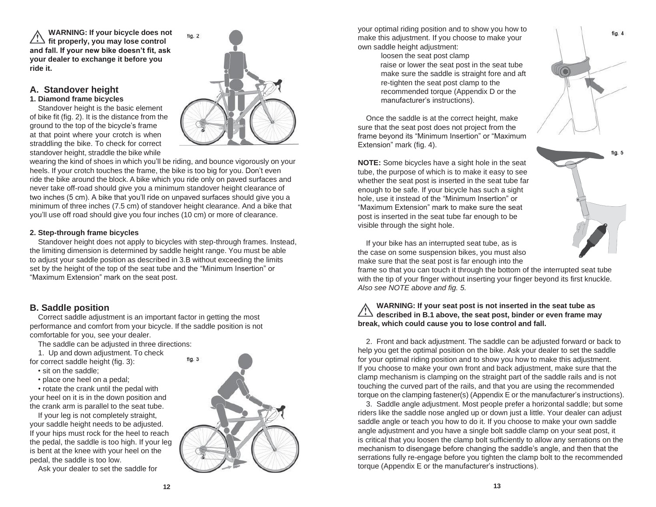**WARNING: If your bicycle does not** *fit properly, you may lose control* **and fall. If your new bike doesn't fit, ask your dealer to exchange it before you ride it.**

### **A. Standover height 1. Diamond frame bicycles**

Standover height is the basic element of bike fit (fig. 2). It is the distance from the ground to the top of the bicycle's frame at that point where your crotch is when straddling the bike. To check for correct standover height, straddle the bike while



wearing the kind of shoes in which you'll be riding, and bounce vigorously on your heels. If your crotch touches the frame, the bike is too big for you. Don't even ride the bike around the block. A bike which you ride only on paved surfaces and never take off-road should give you a minimum standover height clearance of two inches (5 cm). A bike that you'll ride on unpaved surfaces should give you a minimum of three inches (7.5 cm) of standover height clearance. And a bike that you'll use off road should give you four inches (10 cm) or more of clearance.

## **2. Step-through frame bicycles**

Standover height does not apply to bicycles with step-through frames. Instead, the limiting dimension is determined by saddle height range. You must be able to adjust your saddle position as described in 3.B without exceeding the limits set by the height of the top of the seat tube and the "Minimum Insertion" or "Maximum Extension" mark on the seat post.

# **B. Saddle position**

Correct saddle adjustment is an important factor in getting the most performance and comfort from your bicycle. If the saddle position is not comfortable for you, see your dealer.

The saddle can be adjusted in three directions:

1. Up and down adjustment. To check for correct saddle height (fig. 3):

• sit on the saddle;

• place one heel on a pedal;

• rotate the crank until the pedal with your heel on it is in the down position and the crank arm is parallel to the seat tube.

If your leg is not completely straight, your saddle height needs to be adjusted. If your hips must rock for the heel to reach the pedal, the saddle is too high. If your leg is bent at the knee with your heel on the pedal, the saddle is too low.

Ask your dealer to set the saddle for



your optimal riding position and to show you how to make this adjustment. If you choose to make your own saddle height adjustment:

> loosen the seat post clamp raise or lower the seat post in the seat tube make sure the saddle is straight fore and aft re-tighten the seat post clamp to the recommended torque (Appendix D or the manufacturer's instructions).

Once the saddle is at the correct height, make sure that the seat post does not project from the frame beyond its "Minimum Insertion" or "Maximum Extension" mark (fig. 4).

**NOTE:** Some bicycles have a sight hole in the seat tube, the purpose of which is to make it easy to see whether the seat post is inserted in the seat tube far enough to be safe. If your bicycle has such a sight hole, use it instead of the "Minimum Insertion" or "Maximum Extension" mark to make sure the seat post is inserted in the seat tube far enough to be visible through the sight hole.



If your bike has an interrupted seat tube, as is the case on some suspension bikes, you must also make sure that the seat post is far enough into the

frame so that you can touch it through the bottom of the interrupted seat tube with the tip of your finger without inserting your finger beyond its first knuckle. *Also see NOTE above and fig. 5.*

## **WARNING: If your seat post is not inserted in the seat tube as described in B.1 above, the seat post, binder or even frame may break, which could cause you to lose control and fall.**

2. Front and back adjustment. The saddle can be adjusted forward or back to help you get the optimal position on the bike. Ask your dealer to set the saddle for your optimal riding position and to show you how to make this adjustment. If you choose to make your own front and back adjustment, make sure that the clamp mechanism is clamping on the straight part of the saddle rails and is not touching the curved part of the rails, and that you are using the recommended torque on the clamping fastener(s) (Appendix E or the manufacturer's instructions).

3. Saddle angle adjustment. Most people prefer a horizontal saddle; but some riders like the saddle nose angled up or down just a little. Your dealer can adjust saddle angle or teach you how to do it. If you choose to make your own saddle angle adjustment and you have a single bolt saddle clamp on your seat post, it is critical that you loosen the clamp bolt sufficiently to allow any serrations on the mechanism to disengage before changing the saddle's angle, and then that the serrations fully re-engage before you tighten the clamp bolt to the recommended torque (Appendix E or the manufacturer's instructions).

fig. 4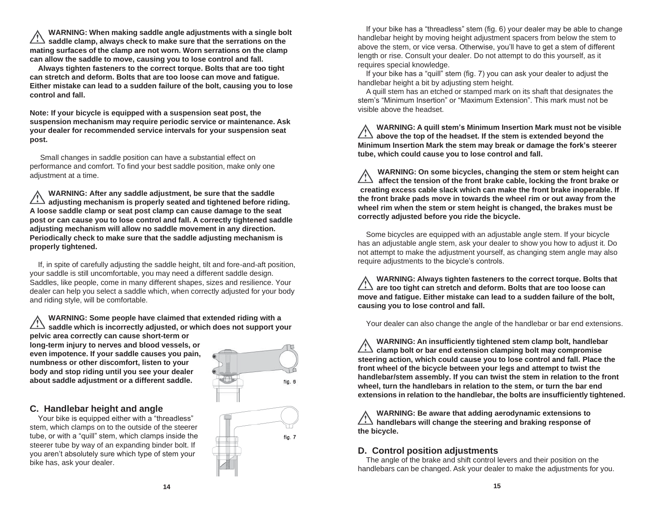**WARNING: When making saddle angle adjustments with a single bolt saddle clamp, always check to make sure that the serrations on the mating surfaces of the clamp are not worn. Worn serrations on the clamp can allow the saddle to move, causing you to lose control and fall.**

**Always tighten fasteners to the correct torque. Bolts that are too tight can stretch and deform. Bolts that are too loose can move and fatigue. Either mistake can lead to a sudden failure of the bolt, causing you to lose control and fall.**

**Note: If your bicycle is equipped with a suspension seat post, the suspension mechanism may require periodic service or maintenance. Ask your dealer for recommended service intervals for your suspension seat post.**

Small changes in saddle position can have a substantial effect on performance and comfort. To find your best saddle position, make only one adjustment at a time.

**WARNING: After any saddle adjustment, be sure that the saddle adjusting mechanism is properly seated and tightened before riding. A loose saddle clamp or seat post clamp can cause damage to the seat post or can cause you to lose control and fall. A correctly tightened saddle adjusting mechanism will allow no saddle movement in any direction. Periodically check to make sure that the saddle adjusting mechanism is properly tightened.**

If, in spite of carefully adjusting the saddle height, tilt and fore-and-aft position, your saddle is still uncomfortable, you may need a different saddle design. Saddles, like people, come in many different shapes, sizes and resilience. Your dealer can help you select a saddle which, when correctly adjusted for your body and riding style, will be comfortable.

**WARNING: Some people have claimed that extended riding with a saddle which is incorrectly adjusted, or which does not support your pelvic area correctly can cause short-term or long-term injury to nerves and blood vessels, or even impotence. If your saddle causes you pain,**

**numbness or other discomfort, listen to your body and stop riding until you see your dealer about saddle adjustment or a different saddle.**

# **C. Handlebar height and angle**

Your bike is equipped either with a "threadless" stem, which clamps on to the outside of the steerer tube, or with a "quill" stem, which clamps inside the steerer tube by way of an expanding binder bolt. If you aren't absolutely sure which type of stem your bike has, ask your dealer.



If your bike has a "threadless" stem (fig. 6) your dealer may be able to change handlebar height by moving height adjustment spacers from below the stem to above the stem, or vice versa. Otherwise, you'll have to get a stem of different length or rise. Consult your dealer. Do not attempt to do this yourself, as it requires special knowledge.

If your bike has a "quill" stem (fig. 7) you can ask your dealer to adjust the handlebar height a bit by adjusting stem height.

A quill stem has an etched or stamped mark on its shaft that designates the stem's "Minimum Insertion" or "Maximum Extension". This mark must not be visible above the headset.

**WARNING: A quill stem's Minimum Insertion Mark must not be visible above the top of the headset. If the stem is extended beyond the Minimum Insertion Mark the stem may break or damage the fork's steerer tube, which could cause you to lose control and fall.**

**WARNING: On some bicycles, changing the stem or stem height can affect the tension of the front brake cable, locking the front brake or creating excess cable slack which can make the front brake inoperable. If the front brake pads move in towards the wheel rim or out away from the wheel rim when the stem or stem height is changed, the brakes must be correctly adjusted before you ride the bicycle.**

Some bicycles are equipped with an adjustable angle stem. If your bicycle has an adjustable angle stem, ask your dealer to show you how to adjust it. Do not attempt to make the adjustment yourself, as changing stem angle may also require adjustments to the bicycle's controls.

**WARNING: Always tighten fasteners to the correct torque. Bolts that are too tight can stretch and deform. Bolts that are too loose can move and fatigue. Either mistake can lead to a sudden failure of the bolt, causing you to lose control and fall.**

Your dealer can also change the angle of the handlebar or bar end extensions.

**WARNING: An insufficiently tightened stem clamp bolt, handlebar clamp bolt or bar end extension clamping bolt may compromise steering action, which could cause you to lose control and fall. Place the front wheel of the bicycle between your legs and attempt to twist the handlebar/stem assembly. If you can twist the stem in relation to the front wheel, turn the handlebars in relation to the stem, or turn the bar end extensions in relation to the handlebar, the bolts are insufficiently tightened.**

**WARNING: Be aware that adding aerodynamic extensions to handlebars will change the steering and braking response of the bicycle.**

# **D. Control position adjustments**

The angle of the brake and shift control levers and their position on the handlebars can be changed. Ask your dealer to make the adjustments for you.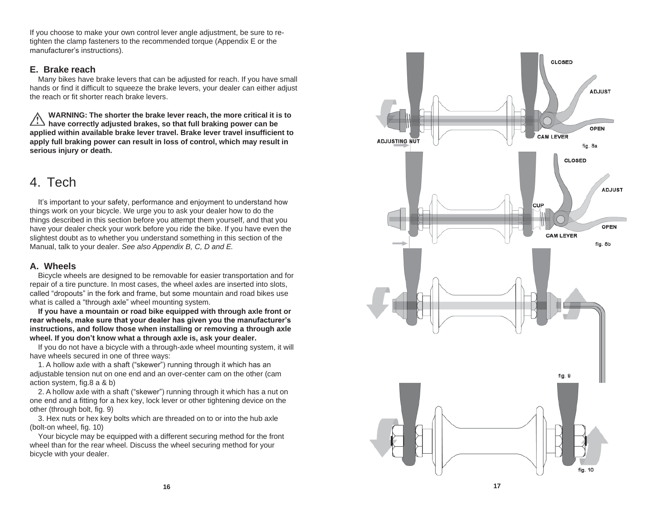If you choose to make your own control lever angle adjustment, be sure to re tighten the clamp fasteners to the recommended torque (Appendix E or the manufacturer's instructions).

## **E. Brake reach**

Many bikes have brake levers that can be adjusted for reach. If you have small hands or find it difficult to squeeze the brake levers, your dealer can either adjust the reach or fit shorter reach brake levers.

**WARNING: The shorter the brake lever reach, the more critical it is to have correctly adjusted brakes, so that full braking power can be applied within available brake lever travel. Brake lever travel insufficient to apply full braking power can result in loss of control, which may result in serious injury or death.**

# 4. Tech

It's important to your safety, performance and enjoyment to understand how things work on your bicycle. We urge you to ask your dealer how to do the things described in this section before you attempt them yourself, and that you have your dealer check your work before you ride the bike. If you have even the slightest doubt as to whether you understand something in this section of the Manual, talk to your dealer. *See also Appendix B, C, D and E.*

## **A. Wheels**

Bicycle wheels are designed to be removable for easier transportation and for repair of a tire puncture. In most cases, the wheel axles are inserted into slots, called "dropouts" in the fork and frame, but some mountain and road bikes use what is called a "through axle" wheel mounting system.

**If you have a mountain or road bike equipped with through axle front or rear wheels, make sure that your dealer has given you the manufacturer's instructions, and follow those when installing or removing a through axle wheel. If you don't know what a through axle is, ask your dealer.**

If you do not have a bicycle with a through -axle wheel mounting system, it will have wheels secured in one of three ways:

1. A hollow axle with a shaft ("skewer") running through it which has an adjustable tension nut on one end and an over -center cam on the other (cam action system, fig.8 a & b)

2. A hollow axle with a shaft ("skewer") running through it which has a nut on one end and a fitting for a hex key, lock lever or other tightening device on the other (through bolt, fig. 9)

3. Hex nuts or hex key bolts which are threaded on to or into the hub axle (bolt -on wheel, fig. 10)

Your bicycle may be equipped with a different securing method for the front wheel than for the rear wheel. Discuss the wheel securing method for your bicycle with your dealer.

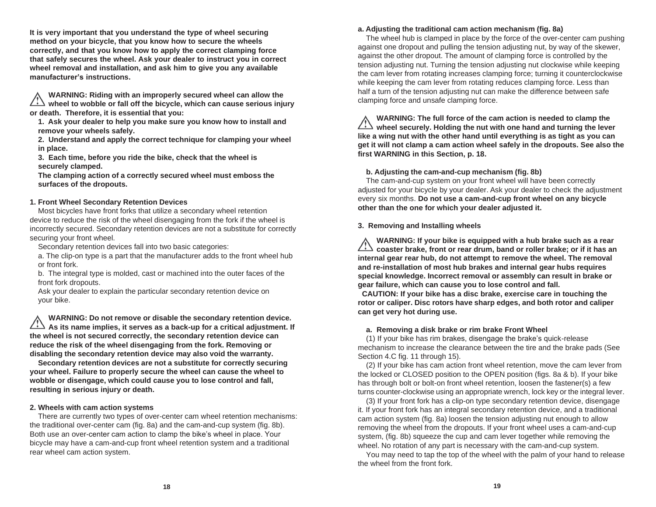**It is very important that you understand the type of wheel securing method on your bicycle, that you know how to secure the wheels correctly, and that you know how to apply the correct clamping force that safely secures the wheel. Ask your dealer to instruct you in correct wheel removal and installation, and ask him to give you any available manufacturer's instructions.**

**WARNING: Riding with an improperly secured wheel can allow the wheel to wobble or fall off the bicycle, which can cause serious injury or death. Therefore, it is essential that you:**

**1. Ask your dealer to help you make sure you know how to install and remove your wheels safely.**

**2. Understand and apply the correct technique for clamping your wheel in place.**

**3. Each time, before you ride the bike, check that the wheel is securely clamped.**

**The clamping action of a correctly secured wheel must emboss the surfaces of the dropouts.**

### **1. Front Wheel Secondary Retention Devices**

Most bicycles have front forks that utilize a secondary wheel retention device to reduce the risk of the wheel disengaging from the fork if the wheel is incorrectly secured. Secondary retention devices are not a substitute for correctly securing your front wheel.

Secondary retention devices fall into two basic categories:

a. The clip-on type is a part that the manufacturer adds to the front wheel hub or front fork.

b. The integral type is molded, cast or machined into the outer faces of the front fork dropouts.

Ask your dealer to explain the particular secondary retention device on your bike.

**WARNING: Do not remove or disable the secondary retention device.** As its name implies, it serves as a back-up for a critical adjustment. If **the wheel is not secured correctly, the secondary retention device can reduce the risk of the wheel disengaging from the fork. Removing or disabling the secondary retention device may also void the warranty.**

**Secondary retention devices are not a substitute for correctly securing your wheel. Failure to properly secure the wheel can cause the wheel to wobble or disengage, which could cause you to lose control and fall, resulting in serious injury or death.**

#### **2. Wheels with cam action systems**

There are currently two types of over-center cam wheel retention mechanisms: the traditional over-center cam (fig. 8a) and the cam-and-cup system (fig. 8b). Both use an over-center cam action to clamp the bike's wheel in place. Your bicycle may have a cam-and-cup front wheel retention system and a traditional rear wheel cam action system.

#### **a. Adjusting the traditional cam action mechanism (fig. 8a)**

The wheel hub is clamped in place by the force of the over-center cam pushing against one dropout and pulling the tension adjusting nut, by way of the skewer, against the other dropout. The amount of clamping force is controlled by the tension adjusting nut. Turning the tension adjusting nut clockwise while keeping the cam lever from rotating increases clamping force; turning it counterclockwise while keeping the cam lever from rotating reduces clamping force. Less than half a turn of the tension adjusting nut can make the difference between safe clamping force and unsafe clamping force.

**WARNING: The full force of the cam action is needed to clamp the wheel securely. Holding the nut with one hand and turning the lever like a wing nut with the other hand until everything is as tight as you can get it will not clamp a cam action wheel safely in the dropouts. See also the first WARNING in this Section, p. 18.**

#### **b. Adjusting the cam-and-cup mechanism (fig. 8b)**

The cam-and-cup system on your front wheel will have been correctly adjusted for your bicycle by your dealer. Ask your dealer to check the adjustment every six months. **Do not use a cam-and-cup front wheel on any bicycle other than the one for which your dealer adjusted it.**

#### **3. Removing and Installing wheels**

**WARNING: If your bike is equipped with a hub brake such as a rear coaster brake, front or rear drum, band or roller brake; or if it has an internal gear rear hub, do not attempt to remove the wheel. The removal and re-installation of most hub brakes and internal gear hubs requires special knowledge. Incorrect removal or assembly can result in brake or gear failure, which can cause you to lose control and fall.**

**CAUTION: If your bike has a disc brake, exercise care in touching the rotor or caliper. Disc rotors have sharp edges, and both rotor and caliper can get very hot during use.**

#### **a. Removing a disk brake or rim brake Front Wheel**

(1) If your bike has rim brakes, disengage the brake's quick-release mechanism to increase the clearance between the tire and the brake pads (See Section 4.C fig. 11 through 15).

(2) If your bike has cam action front wheel retention, move the cam lever from the locked or CLOSED position to the OPEN position (figs. 8a & b). If your bike has through bolt or bolt-on front wheel retention, loosen the fastener(s) a few turns counter-clockwise using an appropriate wrench, lock key or the integral lever.

(3) If your front fork has a clip-on type secondary retention device, disengage it. If your front fork has an integral secondary retention device, and a traditional cam action system (fig. 8a) loosen the tension adjusting nut enough to allow removing the wheel from the dropouts. If your front wheel uses a cam-and-cup system, (fig. 8b) squeeze the cup and cam lever together while removing the wheel. No rotation of any part is necessary with the cam-and-cup system.

You may need to tap the top of the wheel with the palm of your hand to release the wheel from the front fork.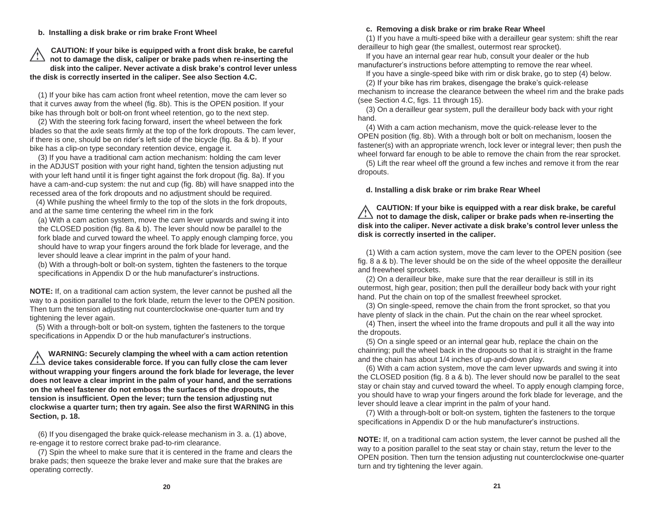**b. Installing a disk brake or rim brake Front Wheel**

### **CAUTION: If your bike is equipped with a front disk brake, be careful not to damage the disk, caliper or brake pads when re-inserting the disk into the caliper. Never activate a disk brake's control lever unless the disk is correctly inserted in the caliper. See also Section 4.C.**

(1) If your bike has cam action front wheel retention, move the cam lever so that it curves away from the wheel (fig. 8b). This is the OPEN position. If your bike has through bolt or bolt-on front wheel retention, go to the next step.

(2) With the steering fork facing forward, insert the wheel between the fork blades so that the axle seats firmly at the top of the fork dropouts. The cam lever, if there is one, should be on rider's left side of the bicycle (fig. 8a & b). If your bike has a clip-on type secondary retention device, engage it.

(3) If you have a traditional cam action mechanism: holding the cam lever in the ADJUST position with your right hand, tighten the tension adjusting nut with your left hand until it is finger tight against the fork dropout (fig. 8a). If you have a cam-and-cup system: the nut and cup (fig. 8b) will have snapped into the recessed area of the fork dropouts and no adjustment should be required.

(4) While pushing the wheel firmly to the top of the slots in the fork dropouts, and at the same time centering the wheel rim in the fork

(a) With a cam action system, move the cam lever upwards and swing it into the CLOSED position (fig. 8a & b). The lever should now be parallel to the fork blade and curved toward the wheel. To apply enough clamping force, you should have to wrap your fingers around the fork blade for leverage, and the lever should leave a clear imprint in the palm of your hand.

(b) With a through-bolt or bolt-on system, tighten the fasteners to the torque specifications in Appendix D or the hub manufacturer's instructions.

**NOTE:** If, on a traditional cam action system, the lever cannot be pushed all the way to a position parallel to the fork blade, return the lever to the OPEN position. Then turn the tension adjusting nut counterclockwise one-quarter turn and try tightening the lever again.

(5) With a through-bolt or bolt-on system, tighten the fasteners to the torque specifications in Appendix D or the hub manufacturer's instructions.

**WARNING: Securely clamping the wheel with a cam action retention device takes considerable force. If you can fully close the cam lever without wrapping your fingers around the fork blade for leverage, the lever does not leave a clear imprint in the palm of your hand, and the serrations on the wheel fastener do not emboss the surfaces of the dropouts, the tension is insufficient. Open the lever; turn the tension adjusting nut clockwise a quarter turn; then try again. See also the first WARNING in this Section, p. 18.**

(6) If you disengaged the brake quick-release mechanism in 3. a. (1) above, re-engage it to restore correct brake pad-to-rim clearance.

(7) Spin the wheel to make sure that it is centered in the frame and clears the brake pads; then squeeze the brake lever and make sure that the brakes are operating correctly.

#### **c. Removing a disk brake or rim brake Rear Wheel**

(1) If you have a multi-speed bike with a derailleur gear system: shift the rear derailleur to high gear (the smallest, outermost rear sprocket).

If you have an internal gear rear hub, consult your dealer or the hub manufacturer's instructions before attempting to remove the rear wheel.

If you have a single-speed bike with rim or disk brake, go to step (4) below.

(2) If your bike has rim brakes, disengage the brake's quick-release mechanism to increase the clearance between the wheel rim and the brake pads (see Section 4.C, figs. 11 through 15).

(3) On a derailleur gear system, pull the derailleur body back with your right hand.

(4) With a cam action mechanism, move the quick-release lever to the OPEN position (fig. 8b). With a through bolt or bolt on mechanism, loosen the fastener(s) with an appropriate wrench, lock lever or integral lever; then push the wheel forward far enough to be able to remove the chain from the rear sprocket.

(5) Lift the rear wheel off the ground a few inches and remove it from the rear dropouts.

**d. Installing a disk brake or rim brake Rear Wheel**

**CAUTION: If your bike is equipped with a rear disk brake, be careful not to damage the disk, caliper or brake pads when re-inserting the disk into the caliper. Never activate a disk brake's control lever unless the disk is correctly inserted in the caliper.**

(1) With a cam action system, move the cam lever to the OPEN position (see fig. 8 a & b). The lever should be on the side of the wheel opposite the derailleur and freewheel sprockets.

(2) On a derailleur bike, make sure that the rear derailleur is still in its outermost, high gear, position; then pull the derailleur body back with your right hand. Put the chain on top of the smallest freewheel sprocket.

(3) On single-speed, remove the chain from the front sprocket, so that you have plenty of slack in the chain. Put the chain on the rear wheel sprocket.

(4) Then, insert the wheel into the frame dropouts and pull it all the way into the dropouts.

(5) On a single speed or an internal gear hub, replace the chain on the chainring; pull the wheel back in the dropouts so that it is straight in the frame and the chain has about 1/4 inches of up-and-down play.

(6) With a cam action system, move the cam lever upwards and swing it into the CLOSED position (fig. 8 a & b). The lever should now be parallel to the seat stay or chain stay and curved toward the wheel. To apply enough clamping force, you should have to wrap your fingers around the fork blade for leverage, and the lever should leave a clear imprint in the palm of your hand.

(7) With a through-bolt or bolt-on system, tighten the fasteners to the torque specifications in Appendix D or the hub manufacturer's instructions.

**NOTE:** If, on a traditional cam action system, the lever cannot be pushed all the way to a position parallel to the seat stay or chain stay, return the lever to the OPEN position. Then turn the tension adjusting nut counterclockwise one-quarter turn and try tightening the lever again.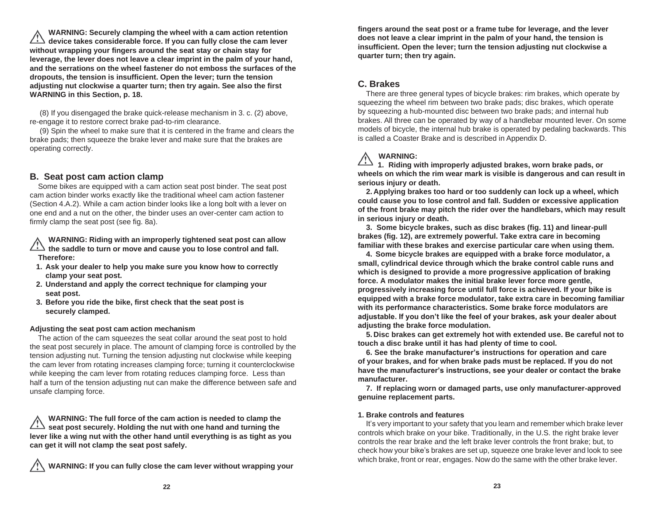**WARNING: Securely clamping the wheel with a cam action retention device takes considerable force. If you can fully close the cam lever without wrapping your fingers around the seat stay or chain stay for leverage, the lever does not leave a clear imprint in the palm of your hand, and the serrations on the wheel fastener do not emboss the surfaces of the dropouts, the tension is insufficient. Open the lever; turn the tension adjusting nut clockwise a quarter turn; then try again. See also the first WARNING in this Section, p. 18.**

(8) If you disengaged the brake quick-release mechanism in 3. c. (2) above, re-engage it to restore correct brake pad-to-rim clearance.

(9) Spin the wheel to make sure that it is centered in the frame and clears the brake pads; then squeeze the brake lever and make sure that the brakes are operating correctly.

## **B. Seat post cam action clamp**

Some bikes are equipped with a cam action seat post binder. The seat post cam action binder works exactly like the traditional wheel cam action fastener (Section 4.A.2). While a cam action binder looks like a long bolt with a lever on one end and a nut on the other, the binder uses an over-center cam action to firmly clamp the seat post (see fig. 8a).

**WARNING: Riding with an improperly tightened seat post can allow the saddle to turn or move and cause you to lose control and fall. Therefore:**

- **1. Ask your dealer to help you make sure you know how to correctly clamp your seat post.**
- **2. Understand and apply the correct technique for clamping your seat post.**
- **3. Before you ride the bike, first check that the seat post is securely clamped.**

#### **Adjusting the seat post cam action mechanism**

The action of the cam squeezes the seat collar around the seat post to hold the seat post securely in place. The amount of clamping force is controlled by the tension adjusting nut. Turning the tension adjusting nut clockwise while keeping the cam lever from rotating increases clamping force; turning it counterclockwise while keeping the cam lever from rotating reduces clamping force. Less than half a turn of the tension adjusting nut can make the difference between safe and unsafe clamping force.

**WARNING: The full force of the cam action is needed to clamp the seat post securely. Holding the nut with one hand and turning the lever like a wing nut with the other hand until everything is as tight as you can get it will not clamp the seat post safely.**

**WARNING: If you can fully close the cam lever without wrapping your**

**fingers around the seat post or a frame tube for leverage, and the lever does not leave a clear imprint in the palm of your hand, the tension is insufficient. Open the lever; turn the tension adjusting nut clockwise a quarter turn; then try again.**

# **C. Brakes**

There are three general types of bicycle brakes: rim brakes, which operate by squeezing the wheel rim between two brake pads; disc brakes, which operate by squeezing a hub-mounted disc between two brake pads; and internal hub brakes. All three can be operated by way of a handlebar mounted lever. On some models of bicycle, the internal hub brake is operated by pedaling backwards. This is called a Coaster Brake and is described in Appendix D.

# **WARNING:**

**1. Riding with improperly adjusted brakes, worn brake pads, or wheels on which the rim wear mark is visible is dangerous and can result in serious injury or death.**

**2. Applying brakes too hard or too suddenly can lock up a wheel, which could cause you to lose control and fall. Sudden or excessive application of the front brake may pitch the rider over the handlebars, which may result in serious injury or death.**

**3. Some bicycle brakes, such as disc brakes (fig. 11) and linear-pull brakes (fig. 12), are extremely powerful. Take extra care in becoming familiar with these brakes and exercise particular care when using them.**

**4. Some bicycle brakes are equipped with a brake force modulator, a small, cylindrical device through which the brake control cable runs and which is designed to provide a more progressive application of braking force. A modulator makes the initial brake lever force more gentle, progressively increasing force until full force is achieved. If your bike is equipped with a brake force modulator, take extra care in becoming familiar with its performance characteristics. Some brake force modulators are adjustable. If you don't like the feel of your brakes, ask your dealer about adjusting the brake force modulation.**

**5. Disc brakes can get extremely hot with extended use. Be careful not to touch a disc brake until it has had plenty of time to cool.**

**6. See the brake manufacturer's instructions for operation and care of your brakes, and for when brake pads must be replaced. If you do not have the manufacturer's instructions, see your dealer or contact the brake manufacturer.**

**7. If replacing worn or damaged parts, use only manufacturer-approved genuine replacement parts.**

#### **1. Brake controls and features**

It's very important to your safety that you learn and remember which brake lever controls which brake on your bike. Traditionally, in the U.S. the right brake lever controls the rear brake and the left brake lever controls the front brake; but, to check how your bike's brakes are set up, squeeze one brake lever and look to see which brake, front or rear, engages. Now do the same with the other brake lever.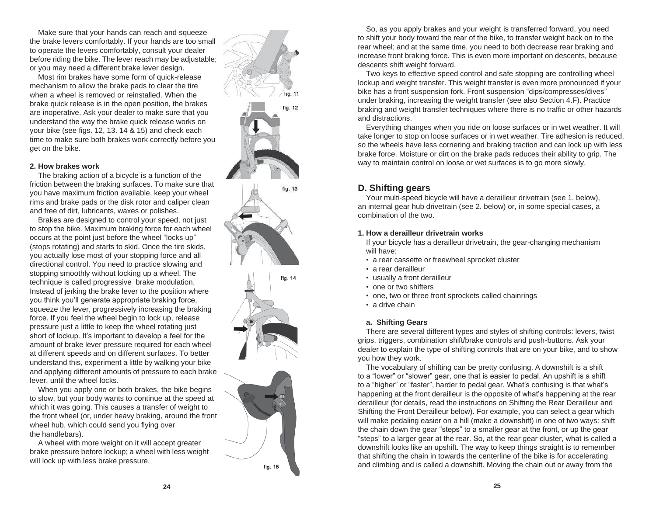Make sure that your hands can reach and squeeze the brake levers comfortably. If your hands are too small to operate the levers comfortably, consult your dealer before riding the bike. The lever reach may be adjustable; or you may need a different brake lever design.

Most rim brakes have some form of quick -release mechanism to allow the brake pads to clear the tire when a wheel is removed or reinstalled. When the brake quick release is in the open position, the brakes are inoperative. Ask your dealer to make sure that you understand the way the brake quick release works on your bike (see figs. 12, 13. 14 & 15) and check each time to make sure both brakes work correctly before you get on the bike.

#### **2. How brakes work**

The braking action of a bicycle is a function of the friction between the braking surfaces. To make sure that you have maximum friction available, keep your wheel rims and brake pads or the disk rotor and caliper clean and free of dirt, lubricants, waxes or polishes.

Brakes are designed to control your speed, not just to stop the bike. Maximum braking force for each wheel occurs at the point just before the wheel "locks up" (stops rotating) and starts to skid. Once the tire skids, you actually lose most of your stopping force and all directional control. You need to practice slowing and stopping smoothly without locking up a wheel. The technique is called progressive brake modulation. Instead of jerking the brake lever to the position where you think you'll generate appropriate braking force, squeeze the lever, progressively increasing the braking force. If you feel the wheel begin to lock up, release pressure just a little to keep the wheel rotating just short of lockup. It's important to develop a feel for the amount of brake lever pressure required for each wheel at different speeds and on different surfaces. To better understand this, experiment a little by walking your bike and applying different amounts of pressure to each brake lever, until the wheel locks.

When you apply one or both brakes, the bike begins to slow, but your body wants to continue at the speed at which it was going. This causes a transfer of weight to the front wheel (or, under heavy braking, around the front wheel hub, which could send you flying over the handlebars).

A wheel with more weight on it will accept greater brake pressure before lockup; a wheel with less weight will lock up with less brake pressure.

![](_page_14_Figure_7.jpeg)

fig. 15

So, as you apply brakes and your weight is transferred forward, you need to shift your body toward the rear of the bike, to transfer weight back on to the rear wheel; and at the same time, you need to both decrease rear braking and increase front braking force. This is even more important on descents, because descents shift weight forward.

Two keys to effective speed control and safe stopping are controlling wheel lockup and weight transfer. This weight transfer is even more pronounced if your bike has a front suspension fork. Front suspension "dips/compresses/dives" under braking, increasing the weight transfer (see also Section 4.F). Practice braking and weight transfer techniques where there is no traffic or other hazards and distractions.

Everything changes when you ride on loose surfaces or in wet weather. It will take longer to stop on loose surfaces or in wet weather. Tire adhesion is reduced, so the wheels have less cornering and braking traction and can lock up with less brake force. Moisture or dirt on the brake pads reduces their ability to grip. The way to maintain control on loose or wet surfaces is to go more slowly.

### **D. Shifting gears**

Your multi -speed bicycle will have a derailleur drivetrain (see 1. below), an internal gear hub drivetrain (see 2. below) or, in some special cases, a combination of the two.

#### **1. How a derailleur drivetrain works**

If your bicycle has a derailleur drivetrain, the gear -changing mechanism will have:

- a rear cassette or freewheel sprocket cluster
- a rear derailleur
- usually a front derailleur
- one or two shifters
- one, two or three front sprockets called chainrings
- a drive chain

#### **a. Shifting Gears**

There are several different types and styles of shifting controls: levers, twist grips, triggers, combination shift/brake controls and push -buttons. Ask your dealer to explain the type of shifting controls that are on your bike, and to show you how they work.

The vocabulary of shifting can be pretty confusing. A downshift is a shift to a "lower" or "slower" gear, one that is easier to pedal. An upshift is a shift to a "higher" or "faster", harder to pedal gear. What's confusing is that what's happening at the front derailleur is the opposite of what's happening at the rear derailleur (for details, read the instructions on Shifting the Rear Derailleur and Shifting the Front Derailleur below). For example, you can select a gear which will make pedaling easier on a hill (make a downshift) in one of two ways: shift the chain down the gear "steps" to a smaller gear at the front, or up the gear "steps" to a larger gear at the rear. So, at the rear gear cluster, what is called a downshift looks like an upshift. The way to keep things straight is to remember that shifting the chain in towards the centerline of the bike is for accelerating and climbing and is called a downshift. Moving the chain out or away from the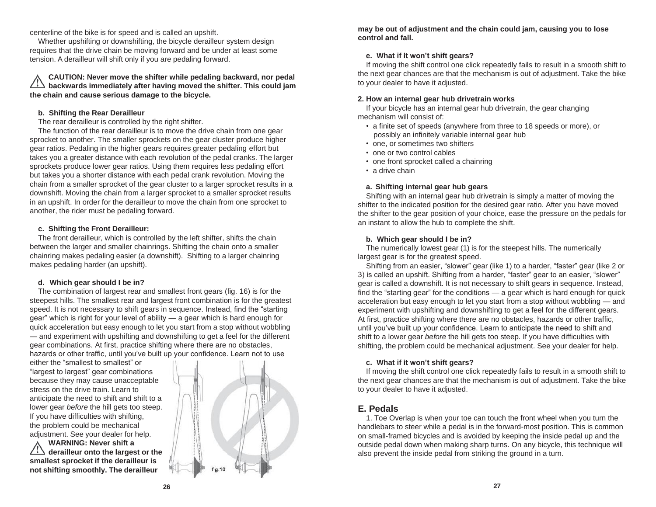centerline of the bike is for speed and is called an upshift.

Whether upshifting or downshifting, the bicycle derailleur system design requires that the drive chain be moving forward and be under at least some tension. A derailleur will shift only if you are pedaling forward.

### **CAUTION: Never move the shifter while pedaling backward, nor pedal backwards immediately after having moved the shifter. This could jam the chain and cause serious damage to the bicycle.**

### **b. Shifting the Rear Derailleur**

The rear derailleur is controlled by the right shifter.

The function of the rear derailleur is to move the drive chain from one gear sprocket to another. The smaller sprockets on the gear cluster produce higher gear ratios. Pedaling in the higher gears requires greater pedaling effort but takes you a greater distance with each revolution of the pedal cranks. The larger sprockets produce lower gear ratios. Using them requires less pedaling effort but takes you a shorter distance with each pedal crank revolution. Moving the chain from a smaller sprocket of the gear cluster to a larger sprocket results in a downshift. Moving the chain from a larger sprocket to a smaller sprocket results in an upshift. In order for the derailleur to move the chain from one sprocket to another, the rider must be pedaling forward.

### **c. Shifting the Front Derailleur:**

The front derailleur, which is controlled by the left shifter, shifts the chain between the larger and smaller chainrings. Shifting the chain onto a smaller chainring makes pedaling easier (a downshift). Shifting to a larger chainring makes pedaling harder (an upshift).

## **d. Which gear should I be in?**

The combination of largest rear and smallest front gears (fig. 16) is for the steepest hills. The smallest rear and largest front combination is for the greatest speed. It is not necessary to shift gears in sequence. Instead, find the "starting gear" which is right for your level of ability — a gear which is hard enough for quick acceleration but easy enough to let you start from a stop without wobbling — and experiment with upshifting and downshifting to get a feel for the different gear combinations. At first, practice shifting where there are no obstacles, hazards or other traffic, until you've built up your confidence. Learn not to use

either the "smallest to smallest" or "largest to largest" gear combinations because they may cause unacceptable stress on the drive train. Learn to anticipate the need to shift and shift to a lower gear *before* the hill gets too steep. If you have difficulties with shifting, the problem could be mechanical adjustment. See your dealer for help.

**WARNING: Never shift a derailleur onto the largest or the smallest sprocket if the derailleur is not shifting smoothly. The derailleur**

![](_page_15_Picture_12.jpeg)

**may be out of adjustment and the chain could jam, causing you to lose control and fall.**

## **e. What if it won't shift gears?**

If moving the shift control one click repeatedly fails to result in a smooth shift to the next gear chances are that the mechanism is out of adjustment. Take the bike to your dealer to have it adjusted.

### **2. How an internal gear hub drivetrain works**

If your bicycle has an internal gear hub drivetrain, the gear changing mechanism will consist of:

- a finite set of speeds (anywhere from three to 18 speeds or more), or possibly an infinitely variable internal gear hub
- one, or sometimes two shifters
- one or two control cables
- one front sprocket called a chainring
- a drive chain

## **a. Shifting internal gear hub gears**

Shifting with an internal gear hub drivetrain is simply a matter of moving the shifter to the indicated position for the desired gear ratio. After you have moved the shifter to the gear position of your choice, ease the pressure on the pedals for an instant to allow the hub to complete the shift.

## **b. Which gear should I be in?**

The numerically lowest gear (1) is for the steepest hills. The numerically largest gear is for the greatest speed.

Shifting from an easier, "slower" gear (like 1) to a harder, "faster" gear (like 2 or 3) is called an upshift. Shifting from a harder, "faster" gear to an easier, "slower" gear is called a downshift. It is not necessary to shift gears in sequence. Instead, find the "starting gear" for the conditions — a gear which is hard enough for quick acceleration but easy enough to let you start from a stop without wobbling — and experiment with upshifting and downshifting to get a feel for the different gears. At first, practice shifting where there are no obstacles, hazards or other traffic, until you've built up your confidence. Learn to anticipate the need to shift and shift to a lower gear *before* the hill gets too steep. If you have difficulties with shifting, the problem could be mechanical adjustment. See your dealer for help.

## **c. What if it won't shift gears?**

If moving the shift control one click repeatedly fails to result in a smooth shift to the next gear chances are that the mechanism is out of adjustment. Take the bike to your dealer to have it adjusted.

# **E. Pedals**

1. Toe Overlap is when your toe can touch the front wheel when you turn the handlebars to steer while a pedal is in the forward-most position. This is common on small-framed bicycles and is avoided by keeping the inside pedal up and the outside pedal down when making sharp turns. On any bicycle, this technique will also prevent the inside pedal from striking the ground in a turn.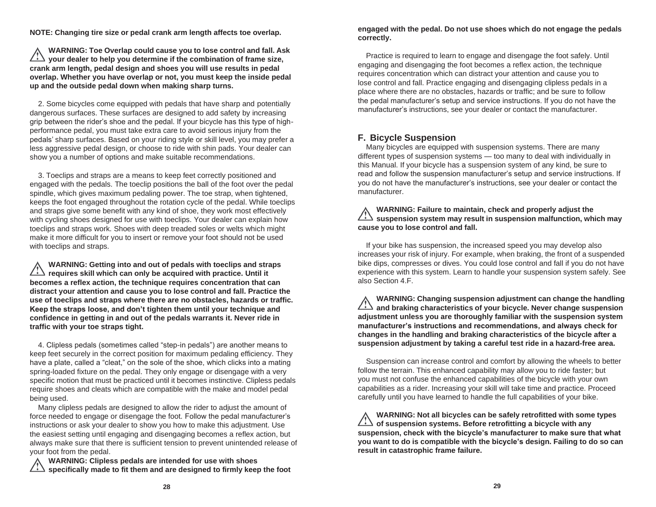**NOTE: Changing tire size or pedal crank arm length affects toe overlap.**

**WARNING: Toe Overlap could cause you to lose control and fall. Ask your dealer to help you determine if the combination of frame size, crank arm length, pedal design and shoes you will use results in pedal overlap. Whether you have overlap or not, you must keep the inside pedal up and the outside pedal down when making sharp turns.**

2. Some bicycles come equipped with pedals that have sharp and potentially dangerous surfaces. These surfaces are designed to add safety by increasing grip between the rider's shoe and the pedal. If your bicycle has this type of highperformance pedal, you must take extra care to avoid serious injury from the pedals' sharp surfaces. Based on your riding style or skill level, you may prefer a less aggressive pedal design, or choose to ride with shin pads. Your dealer can show you a number of options and make suitable recommendations.

3. Toeclips and straps are a means to keep feet correctly positioned and engaged with the pedals. The toeclip positions the ball of the foot over the pedal spindle, which gives maximum pedaling power. The toe strap, when tightened, keeps the foot engaged throughout the rotation cycle of the pedal. While toeclips and straps give some benefit with any kind of shoe, they work most effectively with cycling shoes designed for use with toeclips. Your dealer can explain how toeclips and straps work. Shoes with deep treaded soles or welts which might make it more difficult for you to insert or remove your foot should not be used with toeclips and straps.

**WARNING: Getting into and out of pedals with toeclips and straps requires skill which can only be acquired with practice. Until it becomes a reflex action, the technique requires concentration that can distract your attention and cause you to lose control and fall. Practice the use of toeclips and straps where there are no obstacles, hazards or traffic. Keep the straps loose, and don't tighten them until your technique and confidence in getting in and out of the pedals warrants it. Never ride in traffic with your toe straps tight.**

4. Clipless pedals (sometimes called "step-in pedals") are another means to keep feet securely in the correct position for maximum pedaling efficiency. They have a plate, called a "cleat," on the sole of the shoe, which clicks into a mating spring-loaded fixture on the pedal. They only engage or disengage with a very specific motion that must be practiced until it becomes instinctive. Clipless pedals require shoes and cleats which are compatible with the make and model pedal being used.

Many clipless pedals are designed to allow the rider to adjust the amount of force needed to engage or disengage the foot. Follow the pedal manufacturer's instructions or ask your dealer to show you how to make this adjustment. Use the easiest setting until engaging and disengaging becomes a reflex action, but always make sure that there is sufficient tension to prevent unintended release of your foot from the pedal.

**WARNING: Clipless pedals are intended for use with shoes specifically made to fit them and are designed to firmly keep the foot** **engaged with the pedal. Do not use shoes which do not engage the pedals correctly.**

Practice is required to learn to engage and disengage the foot safely. Until engaging and disengaging the foot becomes a reflex action, the technique requires concentration which can distract your attention and cause you to lose control and fall. Practice engaging and disengaging clipless pedals in a place where there are no obstacles, hazards or traffic; and be sure to follow the pedal manufacturer's setup and service instructions. If you do not have the manufacturer's instructions, see your dealer or contact the manufacturer.

# **F. Bicycle Suspension**

Many bicycles are equipped with suspension systems. There are many different types of suspension systems — too many to deal with individually in this Manual. If your bicycle has a suspension system of any kind, be sure to read and follow the suspension manufacturer's setup and service instructions. If you do not have the manufacturer's instructions, see your dealer or contact the manufacturer.

## **WARNING: Failure to maintain, check and properly adjust the suspension system may result in suspension malfunction, which may cause you to lose control and fall.**

If your bike has suspension, the increased speed you may develop also increases your risk of injury. For example, when braking, the front of a suspended bike dips, compresses or dives. You could lose control and fall if you do not have experience with this system. Learn to handle your suspension system safely. See also Section 4.F.

**WARNING: Changing suspension adjustment can change the handling and braking characteristics of your bicycle. Never change suspension adjustment unless you are thoroughly familiar with the suspension system manufacturer's instructions and recommendations, and always check for changes in the handling and braking characteristics of the bicycle after a suspension adjustment by taking a careful test ride in a hazard-free area.**

Suspension can increase control and comfort by allowing the wheels to better follow the terrain. This enhanced capability may allow you to ride faster; but you must not confuse the enhanced capabilities of the bicycle with your own capabilities as a rider. Increasing your skill will take time and practice. Proceed carefully until you have learned to handle the full capabilities of your bike.

**WARNING: Not all bicycles can be safely retrofitted with some types of suspension systems. Before retrofitting a bicycle with any suspension, check with the bicycle's manufacturer to make sure that what you want to do is compatible with the bicycle's design. Failing to do so can result in catastrophic frame failure.**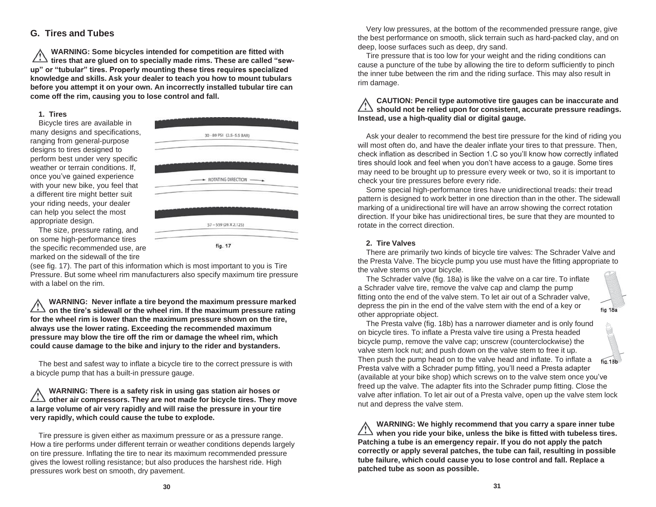# **G. Tires and Tubes**

**WARNING: Some bicycles intended for competition are fitted with tires that are glued on to specially made rims. These are called "sewup" or "tubular" tires. Properly mounting these tires requires specialized knowledge and skills. Ask your dealer to teach you how to mount tubulars before you attempt it on your own. An incorrectly installed tubular tire can come off the rim, causing you to lose control and fall.**

#### **1. Tires**

Bicycle tires are available in many designs and specifications, ranging from general-purpose designs to tires designed to perform best under very specific weather or terrain conditions. If, once you've gained experience with your new bike, you feel that a different tire might better suit your riding needs, your dealer can help you select the most appropriate design.

The size, pressure rating, and on some high-performance tires the specific recommended use, are marked on the sidewall of the tire

30 - 80 PSI (2.5-5.5 BAR) - ROTATING DIRECTION 57-559 (26 X 2.125) fig. 17

(see fig. 17). The part of this information which is most important to you is Tire Pressure. But some wheel rim manufacturers also specify maximum tire pressure with a label on the rim.

**WARNING: Never inflate a tire beyond the maximum pressure marked on the tire's sidewall or the wheel rim. If the maximum pressure rating for the wheel rim is lower than the maximum pressure shown on the tire, always use the lower rating. Exceeding the recommended maximum pressure may blow the tire off the rim or damage the wheel rim, which could cause damage to the bike and injury to the rider and bystanders.**

The best and safest way to inflate a bicycle tire to the correct pressure is with a bicycle pump that has a built-in pressure gauge.

**WARNING: There is a safety risk in using gas station air hoses or other air compressors. They are not made for bicycle tires. They move a large volume of air very rapidly and will raise the pressure in your tire very rapidly, which could cause the tube to explode.**

Tire pressure is given either as maximum pressure or as a pressure range. How a tire performs under different terrain or weather conditions depends largely on tire pressure. Inflating the tire to near its maximum recommended pressure gives the lowest rolling resistance; but also produces the harshest ride. High pressures work best on smooth, dry pavement.

Very low pressures, at the bottom of the recommended pressure range, give the best performance on smooth, slick terrain such as hard-packed clay, and on deep, loose surfaces such as deep, dry sand.

Tire pressure that is too low for your weight and the riding conditions can cause a puncture of the tube by allowing the tire to deform sufficiently to pinch the inner tube between the rim and the riding surface. This may also result in rim damage.

### **CAUTION: Pencil type automotive tire gauges can be inaccurate and should not be relied upon for consistent, accurate pressure readings. Instead, use a high-quality dial or digital gauge.**

Ask your dealer to recommend the best tire pressure for the kind of riding you will most often do, and have the dealer inflate your tires to that pressure. Then, check inflation as described in Section 1.C so you'll know how correctly inflated tires should look and feel when you don't have access to a gauge. Some tires may need to be brought up to pressure every week or two, so it is important to check your tire pressures before every ride.

Some special high-performance tires have unidirectional treads: their tread pattern is designed to work better in one direction than in the other. The sidewall marking of a unidirectional tire will have an arrow showing the correct rotation direction. If your bike has unidirectional tires, be sure that they are mounted to rotate in the correct direction.

#### **2. Tire Valves**

There are primarily two kinds of bicycle tire valves: The Schrader Valve and the Presta Valve. The bicycle pump you use must have the fitting appropriate to the valve stems on your bicycle.

The Schrader valve (fig. 18a) is like the valve on a car tire. To inflate a Schrader valve tire, remove the valve cap and clamp the pump fitting onto the end of the valve stem. To let air out of a Schrader valve, depress the pin in the end of the valve stem with the end of a key or other appropriate object.

![](_page_17_Picture_18.jpeg)

The Presta valve (fig. 18b) has a narrower diameter and is only found on bicycle tires. To inflate a Presta valve tire using a Presta headed bicycle pump, remove the valve cap; unscrew (counterclockwise) the valve stem lock nut; and push down on the valve stem to free it up. Then push the pump head on to the valve head and inflate. To inflate a Presta valve with a Schrader pump fitting, you'll need a Presta adapter (available at your bike shop) which screws on to the valve stem once you've freed up the valve. The adapter fits into the Schrader pump fitting. Close the valve after inflation. To let air out of a Presta valve, open up the valve stem lock nut and depress the valve stem.

**WARNING: We highly recommend that you carry a spare inner tube when you ride your bike, unless the bike is fitted with tubeless tires. Patching a tube is an emergency repair. If you do not apply the patch correctly or apply several patches, the tube can fail, resulting in possible tube failure, which could cause you to lose control and fall. Replace a patched tube as soon as possible.**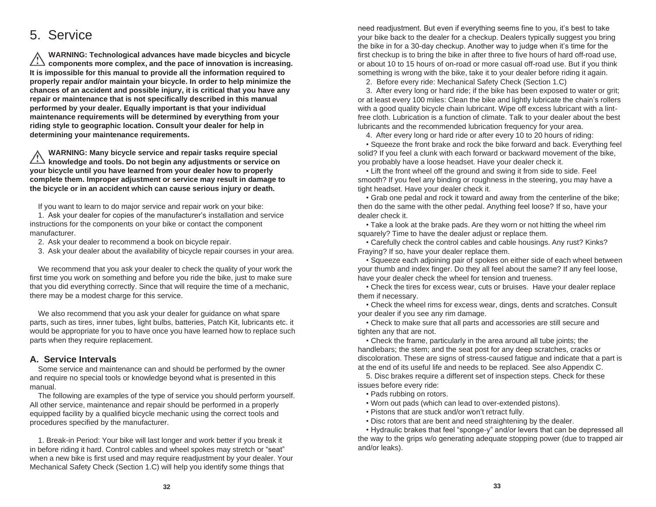# 5. Service

**WARNING: Technological advances have made bicycles and bicycle components more complex, and the pace of innovation is increasing. It is impossible for this manual to provide all the information required to properly repair and/or maintain your bicycle. In order to help minimize the chances of an accident and possible injury, it is critical that you have any repair or maintenance that is not specifically described in this manual performed by your dealer. Equally important is that your individual maintenance requirements will be determined by everything from your riding style to geographic location. Consult your dealer for help in determining your maintenance requirements.**

**WARNING: Many bicycle service and repair tasks require special knowledge and tools. Do not begin any adjustments or service on your bicycle until you have learned from your dealer how to properly complete them. Improper adjustment or service may result in damage to the bicycle or in an accident which can cause serious injury or death.**

If you want to learn to do major service and repair work on your bike:

1. Ask your dealer for copies of the manufacturer's installation and service instructions for the components on your bike or contact the component manufacturer.

- 2. Ask your dealer to recommend a book on bicycle repair.
- 3. Ask your dealer about the availability of bicycle repair courses in your area.

We recommend that you ask your dealer to check the quality of your work the first time you work on something and before you ride the bike, just to make sure that you did everything correctly. Since that will require the time of a mechanic, there may be a modest charge for this service.

We also recommend that you ask your dealer for guidance on what spare parts, such as tires, inner tubes, light bulbs, batteries, Patch Kit, lubricants etc. it would be appropriate for you to have once you have learned how to replace such parts when they require replacement.

## **A. Service Intervals**

Some service and maintenance can and should be performed by the owner and require no special tools or knowledge beyond what is presented in this manual.

The following are examples of the type of service you should perform yourself. All other service, maintenance and repair should be performed in a properly equipped facility by a qualified bicycle mechanic using the correct tools and procedures specified by the manufacturer.

1. Break-in Period: Your bike will last longer and work better if you break it in before riding it hard. Control cables and wheel spokes may stretch or "seat" when a new bike is first used and may require readjustment by your dealer. Your Mechanical Safety Check (Section 1.C) will help you identify some things that

need readjustment. But even if everything seems fine to you, it's best to take your bike back to the dealer for a checkup. Dealers typically suggest you bring the bike in for a 30-day checkup. Another way to judge when it's time for the first checkup is to bring the bike in after three to five hours of hard off-road use, or about 10 to 15 hours of on-road or more casual off-road use. But if you think something is wrong with the bike, take it to your dealer before riding it again.

2. Before every ride: Mechanical Safety Check (Section 1.C)

3. After every long or hard ride; if the bike has been exposed to water or grit; or at least every 100 miles: Clean the bike and lightly lubricate the chain's rollers with a good quality bicycle chain lubricant. Wipe off excess lubricant with a lintfree cloth. Lubrication is a function of climate. Talk to your dealer about the best lubricants and the recommended lubrication frequency for your area.

4. After every long or hard ride or after every 10 to 20 hours of riding:

• Squeeze the front brake and rock the bike forward and back. Everything feel solid? If you feel a clunk with each forward or backward movement of the bike, you probably have a loose headset. Have your dealer check it.

• Lift the front wheel off the ground and swing it from side to side. Feel smooth? If you feel any binding or roughness in the steering, you may have a tight headset. Have your dealer check it.

• Grab one pedal and rock it toward and away from the centerline of the bike; then do the same with the other pedal. Anything feel loose? If so, have your dealer check it.

• Take a look at the brake pads. Are they worn or not hitting the wheel rim squarely? Time to have the dealer adjust or replace them.

• Carefully check the control cables and cable housings. Any rust? Kinks? Fraying? If so, have your dealer replace them.

• Squeeze each adjoining pair of spokes on either side of each wheel between your thumb and index finger. Do they all feel about the same? If any feel loose, have your dealer check the wheel for tension and trueness.

• Check the tires for excess wear, cuts or bruises. Have your dealer replace them if necessary.

• Check the wheel rims for excess wear, dings, dents and scratches. Consult your dealer if you see any rim damage.

• Check to make sure that all parts and accessories are still secure and tighten any that are not.

• Check the frame, particularly in the area around all tube joints; the handlebars; the stem; and the seat post for any deep scratches, cracks or discoloration. These are signs of stress-caused fatigue and indicate that a part is at the end of its useful life and needs to be replaced. See also Appendix C.

5. Disc brakes require a different set of inspection steps. Check for these issues before every ride:

- Pads rubbing on rotors.
- Worn out pads (which can lead to over-extended pistons).
- Pistons that are stuck and/or won't retract fully.
- Disc rotors that are bent and need straightening by the dealer.

• Hydraulic brakes that feel "sponge-y" and/or levers that can be depressed all the way to the grips w/o generating adequate stopping power (due to trapped air and/or leaks).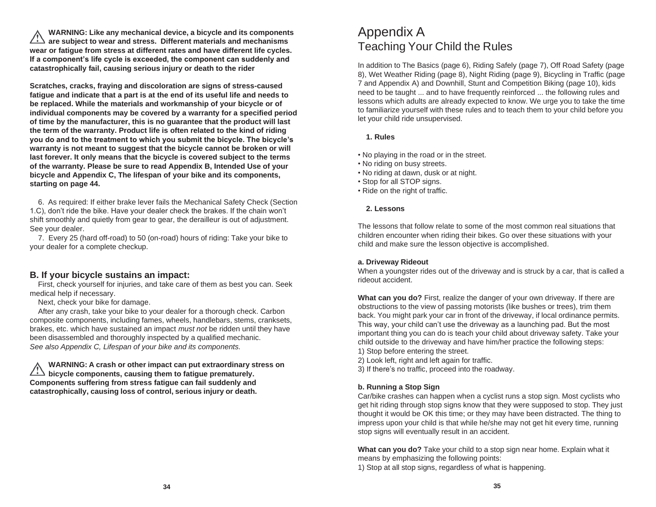**WARNING: Like any mechanical device, a bicycle and its components are subject to wear and stress. Different materials and mechanisms wear or fatigue from stress at different rates and have different life cycles. If a component's life cycle is exceeded, the component can suddenly and catastrophically fail, causing serious injury or death to the rider**

**Scratches, cracks, fraying and discoloration are signs of stress-caused fatigue and indicate that a part is at the end of its useful life and needs to be replaced. While the materials and workmanship of your bicycle or of individual components may be covered by a warranty for a specified period of time by the manufacturer, this is no guarantee that the product will last the term of the warranty. Product life is often related to the kind of riding you do and to the treatment to which you submit the bicycle. The bicycle's warranty is not meant to suggest that the bicycle cannot be broken or will last forever. It only means that the bicycle is covered subject to the terms of the warranty. Please be sure to read Appendix B, Intended Use of your bicycle and Appendix C, The lifespan of your bike and its components, starting on page 44.**

6. As required: If either brake lever fails the Mechanical Safety Check (Section 1.C), don't ride the bike. Have your dealer check the brakes. If the chain won't shift smoothly and quietly from gear to gear, the derailleur is out of adjustment. See your dealer.

7. Every 25 (hard off-road) to 50 (on-road) hours of riding: Take your bike to your dealer for a complete checkup.

# **B. If your bicycle sustains an impact:**

First, check yourself for injuries, and take care of them as best you can. Seek medical help if necessary.

Next, check your bike for damage.

After any crash, take your bike to your dealer for a thorough check. Carbon composite components, including fames, wheels, handlebars, stems, cranksets, brakes, etc. which have sustained an impact *must not* be ridden until they have been disassembled and thoroughly inspected by a qualified mechanic. *See also Appendix C, Lifespan of your bike and its components.*

**WARNING: A crash or other impact can put extraordinary stress on bicycle components, causing them to fatigue prematurely. Components suffering from stress fatigue can fail suddenly and catastrophically, causing loss of control, serious injury or death.**

# Appendix A Teaching Your Child the Rules

In addition to The Basics (page 6), Riding Safely (page 7), Off Road Safety (page 8), Wet Weather Riding (page 8), Night Riding (page 9), Bicycling in Traffic (page 7 and Appendix A) and Downhill, Stunt and Competition Biking (page 10), kids need to be taught ... and to have frequently reinforced ... the following rules and lessons which adults are already expected to know. We urge you to take the time to familiarize yourself with these rules and to teach them to your child before you let your child ride unsupervised.

## **1. Rules**

- No playing in the road or in the street.
- No riding on busy streets.
- No riding at dawn, dusk or at night.
- Stop for all STOP signs.
- Ride on the right of traffic.

## **2. Lessons**

The lessons that follow relate to some of the most common real situations that children encounter when riding their bikes. Go over these situations with your child and make sure the lesson objective is accomplished.

## **a. Driveway Rideout**

When a youngster rides out of the driveway and is struck by a car, that is called a rideout accident.

**What can you do?** First, realize the danger of your own driveway. If there are obstructions to the view of passing motorists (like bushes or trees), trim them back. You might park your car in front of the driveway, if local ordinance permits. This way, your child can't use the driveway as a launching pad. But the most important thing you can do is teach your child about driveway safety. Take your child outside to the driveway and have him/her practice the following steps:

- 1) Stop before entering the street.
- 2) Look left, right and left again for traffic.
- 3) If there's no traffic, proceed into the roadway.

## **b. Running a Stop Sign**

Car/bike crashes can happen when a cyclist runs a stop sign. Most cyclists who get hit riding through stop signs know that they were supposed to stop. They just thought it would be OK this time; or they may have been distracted. The thing to impress upon your child is that while he/she may not get hit every time, running stop signs will eventually result in an accident.

**What can you do?** Take your child to a stop sign near home. Explain what it means by emphasizing the following points:

1) Stop at all stop signs, regardless of what is happening.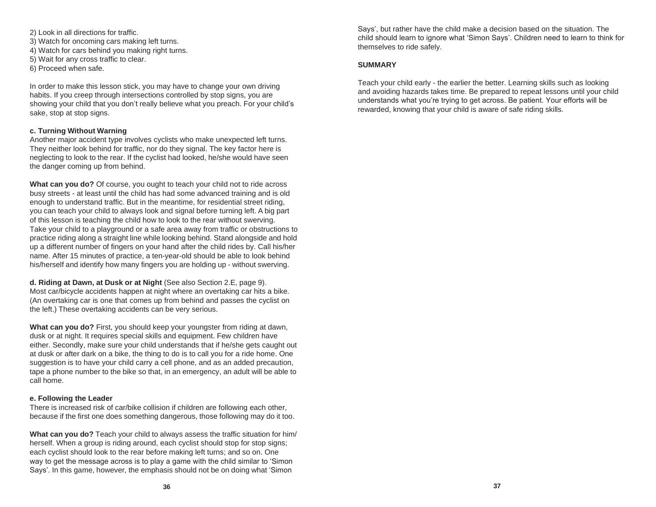- 2) Look in all directions for traffic. 3) Watch for oncoming cars making left turns. 4) Watch for cars behind you making right turns. 5) Wait for any cross traffic to clear.
- 6) Proceed when safe.

In order to make this lesson stick, you may have to change your own driving habits. If you creep through intersections controlled by stop signs, you are showing your child that you don't really believe what you preach. For your child's sake, stop at stop signs.

#### **c. Turning Without Warning**

Another major accident type involves cyclists who make unexpected left turns. They neither look behind for traffic, nor do they signal. The key factor here is neglecting to look to the rear. If the cyclist had looked, he/she would have seen the danger coming up from behind.

**What can you do?** Of course, you ought to teach your child not to ride across busy streets - at least until the child has had some advanced training and is old enough to understand traffic. But in the meantime, for residential street riding, you can teach your child to always look and signal before turning left. A big part of this lesson is teaching the child how to look to the rear without swerving. Take your child to a playground or a safe area away from traffic or obstructions to practice riding along a straight line while looking behind. Stand alongside and hold up a different number of fingers on your hand after the child rides by. Call his/her name. After 15 minutes of practice, a ten-year-old should be able to look behind his/herself and identify how many fingers you are holding up - without swerving.

**d. Riding at Dawn, at Dusk or at Night** (See also Section 2.E, page 9). Most car/bicycle accidents happen at night where an overtaking car hits a bike. (An overtaking car is one that comes up from behind and passes the cyclist on the left.) These overtaking accidents can be very serious.

**What can you do?** First, you should keep your youngster from riding at dawn, dusk or at night. It requires special skills and equipment. Few children have either. Secondly, make sure your child understands that if he/she gets caught out at dusk or after dark on a bike, the thing to do is to call you for a ride home. One suggestion is to have your child carry a cell phone, and as an added precaution, tape a phone number to the bike so that, in an emergency, an adult will be able to call home.

#### **e. Following the Leader**

There is increased risk of car/bike collision if children are following each other, because if the first one does something dangerous, those following may do it too.

**What can you do?** Teach your child to always assess the traffic situation for him/ herself. When a group is riding around, each cyclist should stop for stop signs; each cyclist should look to the rear before making left turns; and so on. One way to get the message across is to play a game with the child similar to 'Simon Says'. In this game, however, the emphasis should not be on doing what 'Simon

Says', but rather have the child make a decision based on the situation. The child should learn to ignore what 'Simon Says'. Children need to learn to think for themselves to ride safely.

#### **SUMMARY**

Teach your child early - the earlier the better. Learning skills such as looking and avoiding hazards takes time. Be prepared to repeat lessons until your child understands what you're trying to get across. Be patient. Your efforts will be rewarded, knowing that your child is aware of safe riding skills.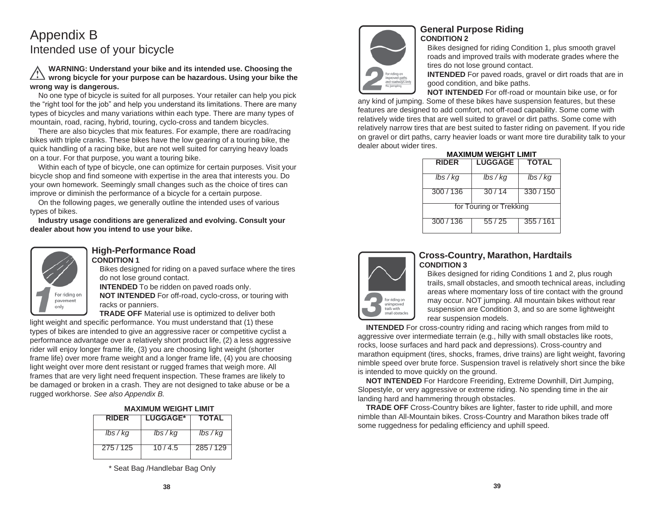# Appendix B Intended use of your bicycle

## **WARNING: Understand your bike and its intended use. Choosing the wrong bicycle for your purpose can be hazardous. Using your bike the wrong way is dangerous.**

No one type of bicycle is suited for all purposes. Your retailer can help you pick the "right tool for the job" and help you understand its limitations. There are many types of bicycles and many variations within each type. There are many types of mountain, road, racing, hybrid, touring, cyclo-cross and tandem bicycles.

There are also bicycles that mix features. For example, there are road/racing bikes with triple cranks. These bikes have the low gearing of a touring bike, the quick handling of a racing bike, but are not well suited for carrying heavy loads on a tour. For that purpose, you want a touring bike.

Within each of type of bicycle, one can optimize for certain purposes. Visit your bicycle shop and find someone with expertise in the area that interests you. Do your own homework. Seemingly small changes such as the choice of tires can improve or diminish the performance of a bicycle for a certain purpose.

On the following pages, we generally outline the intended uses of various types of bikes.

**Industry usage conditions are generalized and evolving. Consult your dealer about how you intend to use your bike.**

![](_page_21_Picture_7.jpeg)

#### **High-Performance Road CONDITION 1**

Bikes designed for riding on a paved surface where the tires do not lose ground contact.

**INTENDED** To be ridden on paved roads only.

**NOT INTENDED** For off-road, cyclo-cross, or touring with racks or panniers.

**TRADE OFF** Material use is optimized to deliver both light weight and specific performance. You must understand that (1) these types of bikes are intended to give an aggressive racer or competitive cyclist a performance advantage over a relatively short product life, (2) a less aggressive rider will enjoy longer frame life, (3) you are choosing light weight (shorter frame life) over more frame weight and a longer frame life, (4) you are choosing light weight over more dent resistant or rugged frames that weigh more. All frames that are very light need frequent inspection. These frames are likely to be damaged or broken in a crash. They are not designed to take abuse or be a rugged workhorse. *See also Appendix B.*

| <b>MAXIMUM WEIGHT LIMIT</b> |  |  |
|-----------------------------|--|--|
|-----------------------------|--|--|

| <b>RIDER</b> | <b>LUGGAGE*</b> | <b>TOTAL</b>       |
|--------------|-----------------|--------------------|
| $lbs$ / $kq$ | lbs / kg        | $\frac{7}{5}$ / kg |
| 275/125      | 10/4.5          | 285/129            |

\* Seat Bag /Handlebar Bag Only

![](_page_21_Picture_16.jpeg)

# **General Purpose Riding CONDITION 2**

Bikes designed for riding Condition 1, plus smooth gravel roads and improved trails with moderate grades where the tires do not lose ground contact.

**INTENDED** For paved roads, gravel or dirt roads that are in good condition, and bike paths.

**NOT INTENDED** For off-road or mountain bike use, or for

any kind of jumping. Some of these bikes have suspension features, but these features are designed to add comfort, not off-road capability. Some come with relatively wide tires that are well suited to gravel or dirt paths. Some come with relatively narrow tires that are best suited to faster riding on pavement. If you ride on gravel or dirt paths, carry heavier loads or want more tire durability talk to your dealer about wider tires. **MAXIMUM WEIGHT LIMIT**

| MAAIMUM WEIGHT LIMIT |                         |              |
|----------------------|-------------------------|--------------|
| <b>RIDER</b>         | <b>LUGGAGE</b>          | <b>TOTAL</b> |
|                      |                         |              |
| $lbs$ / $kg$         | lbs / kq                | $lbs$ / $kg$ |
| 300/136              | 30/14                   | 330/150      |
|                      | for Touring or Trekking |              |
| 300 / 136            | 55/25                   | 355 / 161    |

![](_page_21_Picture_23.jpeg)

# **Cross-Country, Marathon, Hardtails CONDITION 3**

Bikes designed for riding Conditions 1 and 2, plus rough trails, small obstacles, and smooth technical areas, including areas where momentary loss of tire contact with the ground may occur. NOT jumping. All mountain bikes without rear suspension are Condition 3, and so are some lightweight rear suspension models.

**INTENDED** For cross-country riding and racing which ranges from mild to aggressive over intermediate terrain (e.g., hilly with small obstacles like roots, rocks, loose surfaces and hard pack and depressions). Cross-country and marathon equipment (tires, shocks, frames, drive trains) are light weight, favoring nimble speed over brute force. Suspension travel is relatively short since the bike is intended to move quickly on the ground.

**NOT INTENDED** For Hardcore Freeriding, Extreme Downhill, Dirt Jumping, Slopestyle, or very aggressive or extreme riding. No spending time in the air landing hard and hammering through obstacles.

**TRADE OFF** Cross-Country bikes are lighter, faster to ride uphill, and more nimble than All-Mountain bikes. Cross-Country and Marathon bikes trade off some ruggedness for pedaling efficiency and uphill speed.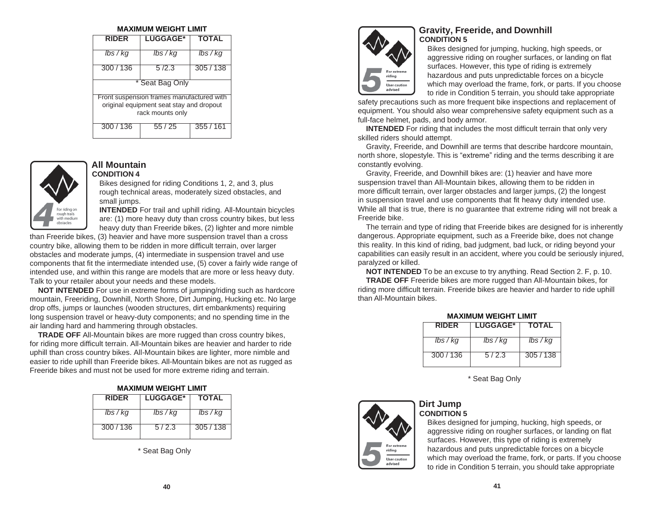#### **MAXIMUM WEIGHT LIMIT**

| <b>RIDER</b>                                                                                              | <b>LUGGAGE*</b> | TOTAL        |
|-----------------------------------------------------------------------------------------------------------|-----------------|--------------|
| lbs / kq                                                                                                  | lbs / kq        | $lbs$ / $kg$ |
| 300/136                                                                                                   | 5/2.3           | 305 / 138    |
|                                                                                                           | * Seat Bag Only |              |
| Front suspension frames manufactured with<br>original equipment seat stay and dropout<br>rack mounts only |                 |              |
| 300/136                                                                                                   | 55 / 25         | 355/161      |

![](_page_22_Picture_2.jpeg)

#### **All Mountain CONDITION 4**

Bikes designed for riding Conditions 1, 2, and 3, plus rough technical areas, moderately sized obstacles, and small jumps.

**INTENDED** For trail and uphill riding. All-Mountain bicycles are: (1) more heavy duty than cross country bikes, but less heavy duty than Freeride bikes, (2) lighter and more nimble

than Freeride bikes, (3) heavier and have more suspension travel than a cross country bike, allowing them to be ridden in more difficult terrain, over larger obstacles and moderate jumps, (4) intermediate in suspension travel and use components that fit the intermediate intended use, (5) cover a fairly wide range of intended use, and within this range are models that are more or less heavy duty. Talk to your retailer about your needs and these models.

**NOT INTENDED** For use in extreme forms of jumping/riding such as hardcore mountain, Freeriding, Downhill, North Shore, Dirt Jumping, Hucking etc. No large drop offs, jumps or launches (wooden structures, dirt embankments) requiring long suspension travel or heavy-duty components; and no spending time in the air landing hard and hammering through obstacles.

**TRADE OFF** All-Mountain bikes are more rugged than cross country bikes, for riding more difficult terrain. All-Mountain bikes are heavier and harder to ride uphill than cross country bikes. All-Mountain bikes are lighter, more nimble and easier to ride uphill than Freeride bikes. All-Mountain bikes are not as rugged as Freeride bikes and must not be used for more extreme riding and terrain.

**MAXIMUM WEIGHT LIMIT**

| IVIAAIIVIUIVI VVLIJIII LIIVIII |                 |              |
|--------------------------------|-----------------|--------------|
| <b>RIDER</b>                   | <b>LUGGAGE*</b> | <b>TOTAL</b> |
| lbs / kg                       | lbs / kg        | lbs / kg     |
| 300/136                        | 5/2.3           | 305/138      |

\* Seat Bag Only

![](_page_22_Picture_11.jpeg)

## **Gravity, Freeride, and Downhill CONDITION 5**

Bikes designed for jumping, hucking, high speeds, or aggressive riding on rougher surfaces, or landing on flat surfaces. However, this type of riding is extremely hazardous and puts unpredictable forces on a bicycle which may overload the frame, fork, or parts. If you choose to ride in Condition 5 terrain, you should take appropriate

safety precautions such as more frequent bike inspections and replacement of equipment. You should also wear comprehensive safety equipment such as a full-face helmet, pads, and body armor.

**INTENDED** For riding that includes the most difficult terrain that only very skilled riders should attempt.

Gravity, Freeride, and Downhill are terms that describe hardcore mountain, north shore, slopestyle. This is "extreme" riding and the terms describing it are constantly evolving.

Gravity, Freeride, and Downhill bikes are: (1) heavier and have more suspension travel than All-Mountain bikes, allowing them to be ridden in more difficult terrain, over larger obstacles and larger jumps, (2) the longest in suspension travel and use components that fit heavy duty intended use. While all that is true, there is no guarantee that extreme riding will not break a Freeride bike.

The terrain and type of riding that Freeride bikes are designed for is inherently dangerous. Appropriate equipment, such as a Freeride bike, does not change this reality. In this kind of riding, bad judgment, bad luck, or riding beyond your capabilities can easily result in an accident, where you could be seriously injured, paralyzed or killed.

**NOT INTENDED** To be an excuse to try anything. Read Section 2. F, p. 10.

**TRADE OFF** Freeride bikes are more rugged than All-Mountain bikes, for riding more difficult terrain. Freeride bikes are heavier and harder to ride uphill than All-Mountain bikes.

| <b>RIDER</b> | <b>I LUGGAGE*</b> | <b>TOTAL</b> |
|--------------|-------------------|--------------|
| $lbs$ / $kg$ | lbs / kg          | lbs / kg     |
| 300/136      | 5/2.3             | 305/138      |

**MAXIMUM WEIGHT LIMIT**

\* Seat Bag Only

![](_page_22_Picture_24.jpeg)

## **Dirt Jump CONDITION 5**

Bikes designed for jumping, hucking, high speeds, or aggressive riding on rougher surfaces, or landing on flat surfaces. However, this type of riding is extremely hazardous and puts unpredictable forces on a bicycle which may overload the frame, fork, or parts. If you choose to ride in Condition 5 terrain, you should take appropriate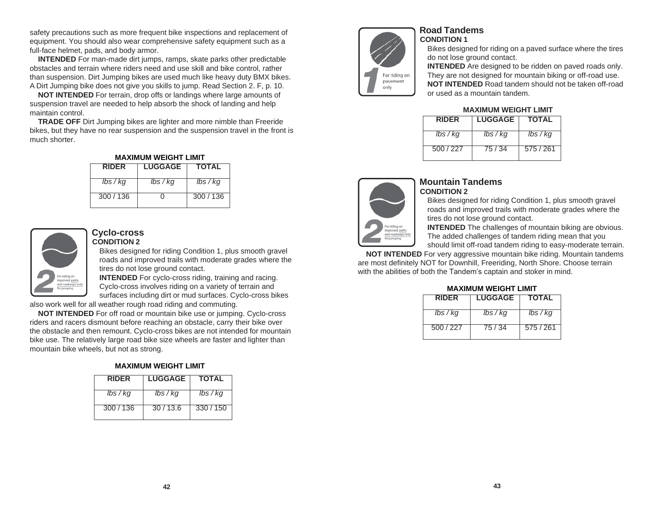safety precautions such as more frequent bike inspections and replacement of equipment. You should also wear comprehensive safety equipment such as a full-face helmet, pads, and body armor.

**INTENDED** For man-made dirt jumps, ramps, skate parks other predictable obstacles and terrain where riders need and use skill and bike control, rather than suspension. Dirt Jumping bikes are used much like heavy duty BMX bikes. A Dirt Jumping bike does not give you skills to jump. Read Section 2. F, p. 10.

**NOT INTENDED** For terrain, drop offs or landings where large amounts of suspension travel are needed to help absorb the shock of landing and help maintain control.

**TRADE OFF** Dirt Jumping bikes are lighter and more nimble than Freeride bikes, but they have no rear suspension and the suspension travel in the front is much shorter.

**MAXIMUM WEIGHT LIMIT**

| IVIAAIIVIUIVI VVLIJIII LIIVIII |                |              |
|--------------------------------|----------------|--------------|
| <b>RIDER</b>                   | <b>LUGGAGE</b> | <b>TOTAL</b> |
| $lbs$ / $kq$                   | lbs / kg       | lbs / kg     |
| 300/136                        |                | 300/136      |

![](_page_23_Picture_5.jpeg)

#### **Cyclo-cross CONDITION 2**

Bikes designed for riding Condition 1, plus smooth gravel roads and improved trails with moderate grades where the tires do not lose ground contact.

**INTENDED** For cyclo-cross riding, training and racing. Cyclo-cross involves riding on a variety of terrain and surfaces including dirt or mud surfaces. Cyclo-cross bikes

also work well for all weather rough road riding and commuting.

**NOT INTENDED** For off road or mountain bike use or jumping. Cyclo-cross riders and racers dismount before reaching an obstacle, carry their bike over the obstacle and then remount. Cyclo-cross bikes are not intended for mountain bike use. The relatively large road bike size wheels are faster and lighter than mountain bike wheels, but not as strong.

## **MAXIMUM WEIGHT LIMIT**

| <b>RIDFR</b> | <b>LUGGAGE</b> | <b>TOTAL</b> |
|--------------|----------------|--------------|
| lbs / kg     | lbs / kg       | lbs / kg     |
| 300/136      | 30/13.6        | 330/150      |

![](_page_23_Picture_13.jpeg)

## **Road Tandems CONDITION 1**

Bikes designed for riding on a paved surface where the tires do not lose ground contact.

**INTENDED** Are designed to be ridden on paved roads only. They are not designed for mountain biking or off-road use. **NOT INTENDED** Road tandem should not be taken off-road or used as a mountain tandem.

#### **MAXIMUM WEIGHT LIMIT**

| <b>RIDFR</b> | <b>LUGGAGE</b> | <b>TOTAL</b> |
|--------------|----------------|--------------|
| $lbs$ / $kg$ | $lbs$ / $kg$   | lbs / kg     |
| 500/227      | 75 / 34        | 575/261      |

![](_page_23_Picture_19.jpeg)

## **Mountain Tandems CONDITION 2**

Bikes designed for riding Condition 1, plus smooth gravel roads and improved trails with moderate grades where the tires do not lose ground contact.

**INTENDED** The challenges of mountain biking are obvious. The added challenges of tandem riding mean that you should limit off-road tandem riding to easy-moderate terrain.

**NOT INTENDED** For very aggressive mountain bike riding. Mountain tandems are most definitely NOT for Downhill, Freeriding, North Shore. Choose terrain

# with the abilities of both the Tandem's captain and stoker in mind.

#### **MAXIMUM WEIGHT LIMIT**

| <b>RIDFR</b> | <b>LUGGAGE</b> | <b>TOTAL</b> |
|--------------|----------------|--------------|
| lbs / kg     | lbs / kg       | lbs / kg     |
| 500/227      | 75 / 34        | 575/261      |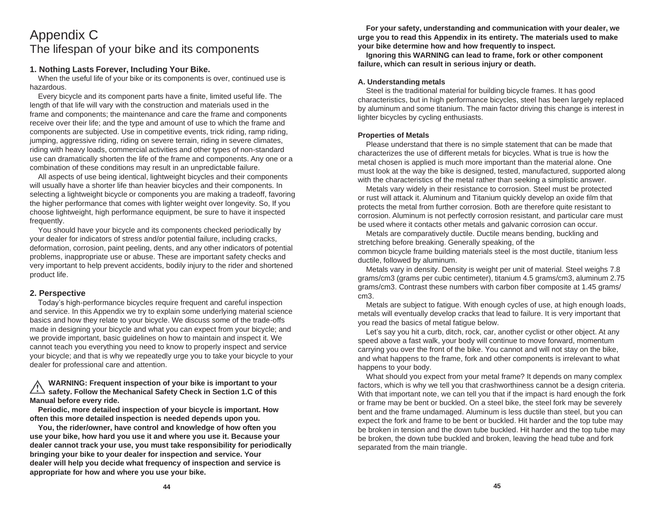# Appendix C The lifespan of your bike and its components

## **1. Nothing Lasts Forever, Including Your Bike.**

When the useful life of your bike or its components is over, continued use is hazardous.

Every bicycle and its component parts have a finite, limited useful life. The length of that life will vary with the construction and materials used in the frame and components; the maintenance and care the frame and components receive over their life; and the type and amount of use to which the frame and components are subjected. Use in competitive events, trick riding, ramp riding, jumping, aggressive riding, riding on severe terrain, riding in severe climates, riding with heavy loads, commercial activities and other types of non-standard use can dramatically shorten the life of the frame and components. Any one or a combination of these conditions may result in an unpredictable failure.

All aspects of use being identical, lightweight bicycles and their components will usually have a shorter life than heavier bicycles and their components. In selecting a lightweight bicycle or components you are making a tradeoff, favoring the higher performance that comes with lighter weight over longevity. So, If you choose lightweight, high performance equipment, be sure to have it inspected frequently.

You should have your bicycle and its components checked periodically by your dealer for indicators of stress and/or potential failure, including cracks, deformation, corrosion, paint peeling, dents, and any other indicators of potential problems, inappropriate use or abuse. These are important safety checks and very important to help prevent accidents, bodily injury to the rider and shortened product life.

#### **2. Perspective**

Today's high-performance bicycles require frequent and careful inspection and service. In this Appendix we try to explain some underlying material science basics and how they relate to your bicycle. We discuss some of the trade-offs made in designing your bicycle and what you can expect from your bicycle; and we provide important, basic guidelines on how to maintain and inspect it. We cannot teach you everything you need to know to properly inspect and service your bicycle; and that is why we repeatedly urge you to take your bicycle to your dealer for professional care and attention.

**WARNING: Frequent inspection of your bike is important to your safety. Follow the Mechanical Safety Check in Section 1.C of this Manual before every ride.**

**Periodic, more detailed inspection of your bicycle is important. How often this more detailed inspection is needed depends upon you.**

**You, the rider/owner, have control and knowledge of how often you use your bike, how hard you use it and where you use it. Because your dealer cannot track your use, you must take responsibility for periodically bringing your bike to your dealer for inspection and service. Your dealer will help you decide what frequency of inspection and service is appropriate for how and where you use your bike.**

**For your safety, understanding and communication with your dealer, we urge you to read this Appendix in its entirety. The materials used to make your bike determine how and how frequently to inspect.**

**Ignoring this WARNING can lead to frame, fork or other component failure, which can result in serious injury or death.**

### **A. Understanding metals**

Steel is the traditional material for building bicycle frames. It has good characteristics, but in high performance bicycles, steel has been largely replaced by aluminum and some titanium. The main factor driving this change is interest in lighter bicycles by cycling enthusiasts.

#### **Properties of Metals**

Please understand that there is no simple statement that can be made that characterizes the use of different metals for bicycles. What is true is how the metal chosen is applied is much more important than the material alone. One must look at the way the bike is designed, tested, manufactured, supported along with the characteristics of the metal rather than seeking a simplistic answer.

Metals vary widely in their resistance to corrosion. Steel must be protected or rust will attack it. Aluminum and Titanium quickly develop an oxide film that protects the metal from further corrosion. Both are therefore quite resistant to corrosion. Aluminum is not perfectly corrosion resistant, and particular care must be used where it contacts other metals and galvanic corrosion can occur.

Metals are comparatively ductile. Ductile means bending, buckling and stretching before breaking. Generally speaking, of the

common bicycle frame building materials steel is the most ductile, titanium less ductile, followed by aluminum.

Metals vary in density. Density is weight per unit of material. Steel weighs 7.8 grams/cm3 (grams per cubic centimeter), titanium 4.5 grams/cm3, aluminum 2.75 grams/cm3. Contrast these numbers with carbon fiber composite at 1.45 grams/ cm3.

Metals are subject to fatigue. With enough cycles of use, at high enough loads, metals will eventually develop cracks that lead to failure. It is very important that you read the basics of metal fatigue below.

Let's say you hit a curb, ditch, rock, car, another cyclist or other object. At any speed above a fast walk, your body will continue to move forward, momentum carrying you over the front of the bike. You cannot and will not stay on the bike, and what happens to the frame, fork and other components is irrelevant to what happens to your body.

What should you expect from your metal frame? It depends on many complex factors, which is why we tell you that crashworthiness cannot be a design criteria. With that important note, we can tell you that if the impact is hard enough the fork or frame may be bent or buckled. On a steel bike, the steel fork may be severely bent and the frame undamaged. Aluminum is less ductile than steel, but you can expect the fork and frame to be bent or buckled. Hit harder and the top tube may be broken in tension and the down tube buckled. Hit harder and the top tube may be broken, the down tube buckled and broken, leaving the head tube and fork separated from the main triangle.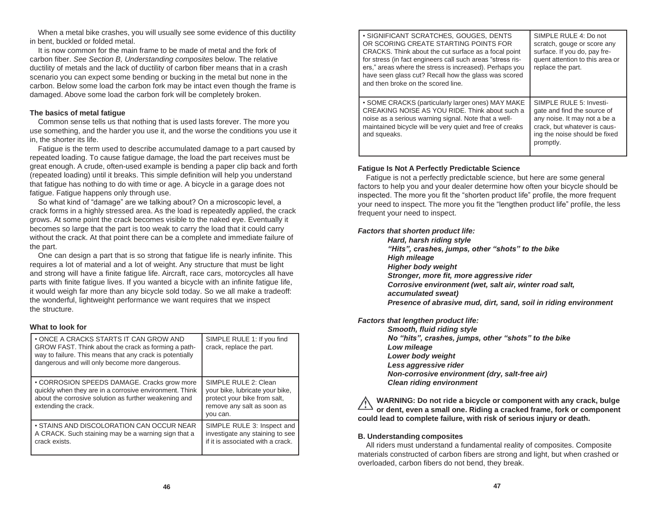When a metal bike crashes, you will usually see some evidence of this ductility in bent, buckled or folded metal.

It is now common for the main frame to be made of metal and the fork of carbon fiber. *See Section B, Understanding composites* below. The relative ductility of metals and the lack of ductility of carbon fiber means that in a crash scenario you can expect some bending or bucking in the metal but none in the carbon. Below some load the carbon fork may be intact even though the frame is damaged. Above some load the carbon fork will be completely broken.

### **The basics of metal fatigue**

Common sense tells us that nothing that is used lasts forever. The more you use something, and the harder you use it, and the worse the conditions you use it in, the shorter its life.

Fatigue is the term used to describe accumulated damage to a part caused by repeated loading. To cause fatigue damage, the load the part receives must be great enough. A crude, often-used example is bending a paper clip back and forth (repeated loading) until it breaks. This simple definition will help you understand that fatigue has nothing to do with time or age. A bicycle in a garage does not fatigue. Fatigue happens only through use.

So what kind of "damage" are we talking about? On a microscopic level, a crack forms in a highly stressed area. As the load is repeatedly applied, the crack grows. At some point the crack becomes visible to the naked eye. Eventually it becomes so large that the part is too weak to carry the load that it could carry without the crack. At that point there can be a complete and immediate failure of the part.

One can design a part that is so strong that fatigue life is nearly infinite. This requires a lot of material and a lot of weight. Any structure that must be light and strong will have a finite fatigue life. Aircraft, race cars, motorcycles all have parts with finite fatigue lives. If you wanted a bicycle with an infinite fatigue life, it would weigh far more than any bicycle sold today. So we all make a tradeoff: the wonderful, lightweight performance we want requires that we inspect the structure.

## **What to look for**

| • ONCE A CRACKS STARTS IT CAN GROW AND<br>GROW FAST. Think about the crack as forming a path-<br>way to failure. This means that any crack is potentially<br>dangerous and will only become more dangerous. | SIMPLE RULE 1: If you find<br>crack, replace the part.                                                                            |
|-------------------------------------------------------------------------------------------------------------------------------------------------------------------------------------------------------------|-----------------------------------------------------------------------------------------------------------------------------------|
| • CORROSION SPEEDS DAMAGE. Cracks grow more<br>quickly when they are in a corrosive environment. Think<br>about the corrosive solution as further weakening and<br>extending the crack.                     | SIMPLE RULE 2: Clean<br>your bike, lubricate your bike,<br>protect your bike from salt,<br>remove any salt as soon as<br>you can. |
| • STAINS AND DISCOLORATION CAN OCCUR NEAR<br>A CRACK. Such staining may be a warning sign that a<br>crack exists.                                                                                           | SIMPLE RULE 3: Inspect and<br>investigate any staining to see<br>if it is associated with a crack.                                |

| • SIGNIFICANT SCRATCHES, GOUGES, DENTS<br>OR SCORING CREATE STARTING POINTS FOR<br>CRACKS. Think about the cut surface as a focal point<br>for stress (in fact engineers call such areas "stress ris-<br>ers," areas where the stress is increased). Perhaps you<br>have seen glass cut? Recall how the glass was scored<br>and then broke on the scored line. | SIMPLE RULE 4: Do not<br>scratch, gouge or score any<br>surface. If you do, pay fre-<br>quent attention to this area or<br>replace the part.                         |
|----------------------------------------------------------------------------------------------------------------------------------------------------------------------------------------------------------------------------------------------------------------------------------------------------------------------------------------------------------------|----------------------------------------------------------------------------------------------------------------------------------------------------------------------|
| • SOME CRACKS (particularly larger ones) MAY MAKE<br>CREAKING NOISE AS YOU RIDE. Think about such a<br>noise as a serious warning signal. Note that a well-<br>maintained bicycle will be very quiet and free of creaks<br>and squeaks.                                                                                                                        | SIMPLE RULE 5: Investi-<br>gate and find the source of<br>any noise. It may not a be a<br>crack, but whatever is caus-<br>ing the noise should be fixed<br>promptly. |

### **Fatigue Is Not A Perfectly Predictable Science**

Fatigue is not a perfectly predictable science, but here are some general factors to help you and your dealer determine how often your bicycle should be inspected. The more you fit the "shorten product life" profile, the more frequent your need to inspect. The more you fit the "lengthen product life" profile, the less frequent your need to inspect.

### *Factors that shorten product life:*

*Hard, harsh riding style "Hits", crashes, jumps, other "shots" to the bike High mileage Higher body weight Stronger, more fit, more aggressive rider Corrosive environment (wet, salt air, winter road salt, accumulated sweat) Presence of abrasive mud, dirt, sand, soil in riding environment*

*Factors that lengthen product life:*

*Smooth, fluid riding style No "hits", crashes, jumps, other "shots" to the bike Low mileage Lower body weight Less aggressive rider Non-corrosive environment (dry, salt-free air) Clean riding environment*

**WARNING: Do not ride a bicycle or component with any crack, bulge or dent, even a small one. Riding a cracked frame, fork or component could lead to complete failure, with risk of serious injury or death.**

## **B. Understanding composites**

All riders must understand a fundamental reality of composites. Composite materials constructed of carbon fibers are strong and light, but when crashed or overloaded, carbon fibers do not bend, they break.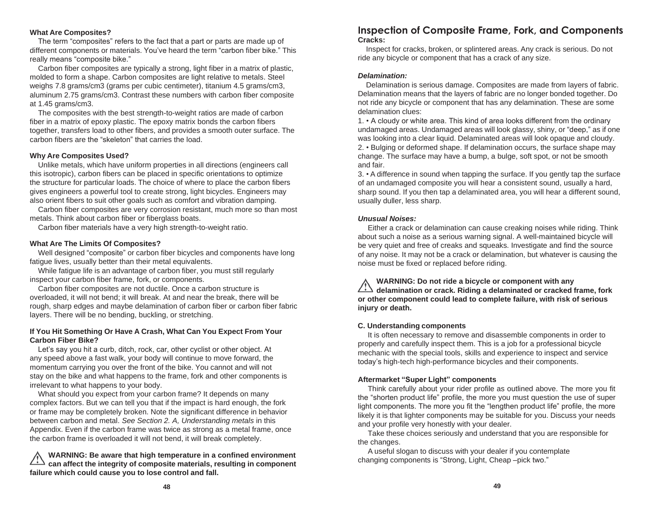#### **What Are Composites?**

The term "composites" refers to the fact that a part or parts are made up of different components or materials. You've heard the term "carbon fiber bike." This really means "composite bike."

Carbon fiber composites are typically a strong, light fiber in a matrix of plastic, molded to form a shape. Carbon composites are light relative to metals. Steel weighs 7.8 grams/cm3 (grams per cubic centimeter), titanium 4.5 grams/cm3, aluminum 2.75 grams/cm3. Contrast these numbers with carbon fiber composite at 1.45 grams/cm3.

The composites with the best strength-to-weight ratios are made of carbon fiber in a matrix of epoxy plastic. The epoxy matrix bonds the carbon fibers together, transfers load to other fibers, and provides a smooth outer surface. The carbon fibers are the "skeleton" that carries the load.

#### **Why Are Composites Used?**

Unlike metals, which have uniform properties in all directions (engineers call this isotropic), carbon fibers can be placed in specific orientations to optimize the structure for particular loads. The choice of where to place the carbon fibers gives engineers a powerful tool to create strong, light bicycles. Engineers may also orient fibers to suit other goals such as comfort and vibration damping.

Carbon fiber composites are very corrosion resistant, much more so than most metals. Think about carbon fiber or fiberglass boats.

Carbon fiber materials have a very high strength-to-weight ratio.

#### **What Are The Limits Of Composites?**

Well designed "composite" or carbon fiber bicycles and components have long fatigue lives, usually better than their metal equivalents.

While fatigue life is an advantage of carbon fiber, you must still regularly inspect your carbon fiber frame, fork, or components.

Carbon fiber composites are not ductile. Once a carbon structure is overloaded, it will not bend; it will break. At and near the break, there will be rough, sharp edges and maybe delamination of carbon fiber or carbon fiber fabric layers. There will be no bending, buckling, or stretching.

#### **If You Hit Something Or Have A Crash, What Can You Expect From Your Carbon Fiber Bike?**

Let's say you hit a curb, ditch, rock, car, other cyclist or other object. At any speed above a fast walk, your body will continue to move forward, the momentum carrying you over the front of the bike. You cannot and will not stay on the bike and what happens to the frame, fork and other components is irrelevant to what happens to your body.

What should you expect from your carbon frame? It depends on many complex factors. But we can tell you that if the impact is hard enough, the fork or frame may be completely broken. Note the significant difference in behavior between carbon and metal. *See Section 2. A, Understanding metals* in this Appendix. Even if the carbon frame was twice as strong as a metal frame, once the carbon frame is overloaded it will not bend, it will break completely.

### **WARNING: Be aware that high temperature in a confined environment can affect the integrity of composite materials, resulting in component failure which could cause you to lose control and fall.**

# **Inspection of Composite Frame, Fork, and Components Cracks:**

Inspect for cracks, broken, or splintered areas. Any crack is serious. Do not ride any bicycle or component that has a crack of any size.

#### *Delamination:*

Delamination is serious damage. Composites are made from layers of fabric. Delamination means that the layers of fabric are no longer bonded together. Do not ride any bicycle or component that has any delamination. These are some delamination clues:

1. • A cloudy or white area. This kind of area looks different from the ordinary undamaged areas. Undamaged areas will look glassy, shiny, or "deep," as if one was looking into a clear liquid. Delaminated areas will look opaque and cloudy. 2. • Bulging or deformed shape. If delamination occurs, the surface shape may change. The surface may have a bump, a bulge, soft spot, or not be smooth and fair.

3. • A difference in sound when tapping the surface. If you gently tap the surface of an undamaged composite you will hear a consistent sound, usually a hard, sharp sound. If you then tap a delaminated area, you will hear a different sound, usually duller, less sharp.

#### *Unusual Noises:*

Either a crack or delamination can cause creaking noises while riding. Think about such a noise as a serious warning signal. A well-maintained bicycle will be very quiet and free of creaks and squeaks. Investigate and find the source of any noise. It may not be a crack or delamination, but whatever is causing the noise must be fixed or replaced before riding.

**WARNING: Do not ride a bicycle or component with any delamination or crack. Riding a delaminated or cracked frame, fork or other component could lead to complete failure, with risk of serious injury or death.**

#### **C. Understanding components**

It is often necessary to remove and disassemble components in order to properly and carefully inspect them. This is a job for a professional bicycle mechanic with the special tools, skills and experience to inspect and service today's high-tech high-performance bicycles and their components.

#### **Aftermarket "Super Light" components**

Think carefully about your rider profile as outlined above. The more you fit the "shorten product life" profile, the more you must question the use of super light components. The more you fit the "lengthen product life" profile, the more likely it is that lighter components may be suitable for you. Discuss your needs and your profile very honestly with your dealer.

Take these choices seriously and understand that you are responsible for the changes.

A useful slogan to discuss with your dealer if you contemplate changing components is "Strong, Light, Cheap –pick two."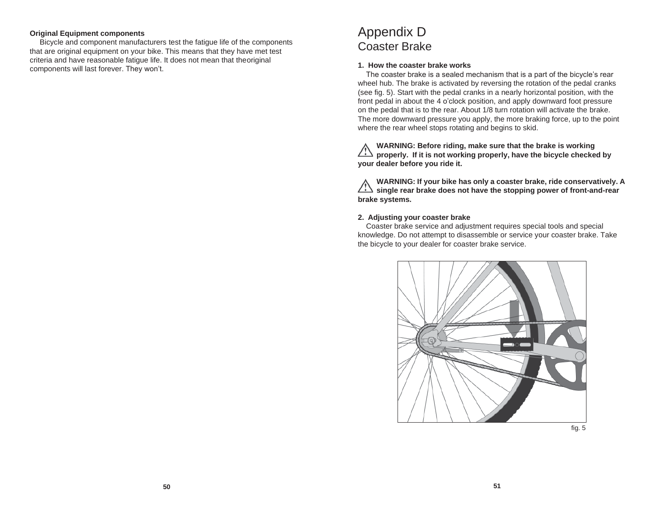#### **Original Equipment components**

Bicycle and component manufacturers test the fatigue life of the components that are original equipment on your bike. This means that they have met test criteria and have reasonable fatigue life. It does not mean that theoriginal components will last forever. They won't.

# Appendix D Coaster Brake

#### **1. How the coaster brake works**

The coaster brake is a sealed mechanism that is a part of the bicycle's rear wheel hub. The brake is activated by reversing the rotation of the pedal cranks (see fig. 5). Start with the pedal cranks in a nearly horizontal position, with the front pedal in about the 4 o'clock position, and apply downward foot pressure on the pedal that is to the rear. About 1/8 turn rotation will activate the brake. The more downward pressure you apply, the more braking force, up to the point where the rear wheel stops rotating and begins to skid.

**WARNING: Before riding, make sure that the brake is working properly. If it is not working properly, have the bicycle checked by your dealer before you ride it.**

**WARNING: If your bike has only a coaster brake, ride conservatively. A single rear brake does not have the stopping power of front-and-rear brake systems.**

#### **2. Adjusting your coaster brake**

Coaster brake service and adjustment requires special tools and special knowledge. Do not attempt to disassemble or service your coaster brake. Take the bicycle to your dealer for coaster brake service.

![](_page_27_Picture_9.jpeg)

fig. 5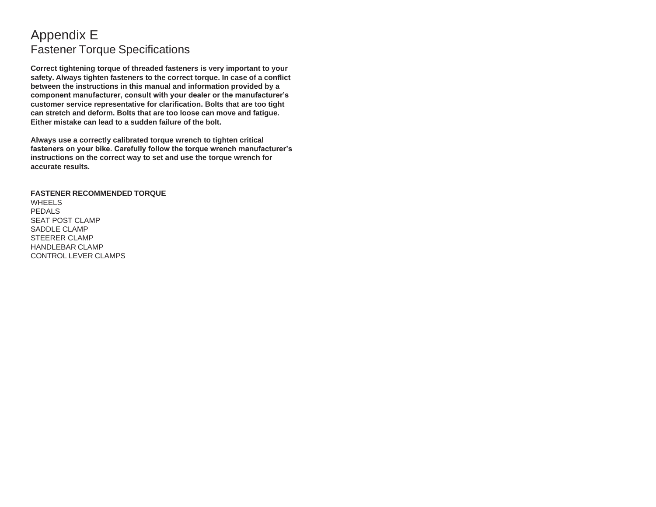# Appendix E Fastener Torque Specifications

**Correct tightening torque of threaded fasteners is very important to your safety. Always tighten fasteners to the correct torque. In case of a conflict between the instructions in this manual and information provided by a component manufacturer, consult with your dealer or the manufacturer's customer service representative for clarification. Bolts that are too tight can stretch and deform. Bolts that are too loose can move and fatigue. Either mistake can lead to a sudden failure of the bolt.**

**Always use a correctly calibrated torque wrench to tighten critical fasteners on your bike. Carefully follow the torque wrench manufacturer's instructions on the correct way to set and use the torque wrench for accurate results.**

**FASTENER RECOMMENDED TORQUE** WHEELS PEDALS SEAT POST CLAMP SADDLE CLAMP STEERER CLAMP HANDLEBAR CLAMP CONTROL LEVER CLAMPS